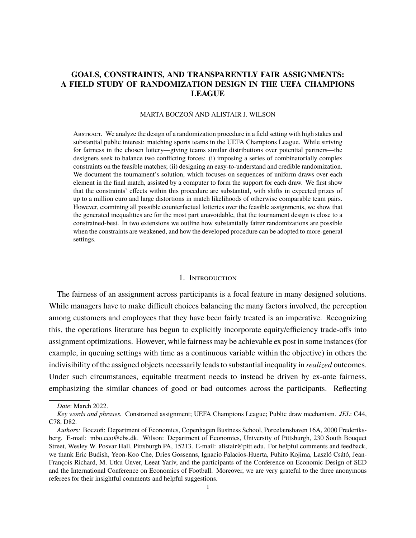## **GOALS, CONSTRAINTS, AND TRANSPARENTLY FAIR ASSIGNMENTS: A FIELD STUDY OF RANDOMIZATION DESIGN IN THE UEFA CHAMPIONS LEAGUE**

#### MARTA BOCZOŃ AND ALISTAIR J. WILSON

ABSTRACT. We analyze the design of a randomization procedure in a field setting with high stakes and substantial public interest: matching sports teams in the UEFA Champions League. While striving for fairness in the chosen lottery—giving teams similar distributions over potential partners—the designers seek to balance two conflicting forces: (i) imposing a series of combinatorially complex constraints on the feasible matches; (ii) designing an easy-to-understand and credible randomization. We document the tournament's solution, which focuses on sequences of uniform draws over each element in the final match, assisted by a computer to form the support for each draw. We first show that the constraints' effects within this procedure are substantial, with shifts in expected prizes of up to a million euro and large distortions in match likelihoods of otherwise comparable team pairs. However, examining all possible counterfactual lotteries over the feasible assignments, we show that the generated inequalities are for the most part unavoidable, that the tournament design is close to a constrained-best. In two extensions we outline how substantially fairer randomizations are possible when the constraints are weakened, and how the developed procedure can be adopted to more-general settings.

#### 1. Introduction

The fairness of an assignment across participants is a focal feature in many designed solutions. While managers have to make difficult choices balancing the many factors involved, the perception among customers and employees that they have been fairly treated is an imperative. Recognizing this, the operations literature has begun to explicitly incorporate equity/efficiency trade-offs into assignment optimizations. However, while fairness may be achievable ex post in some instances (for example, in queuing settings with time as a continuous variable within the objective) in others the indivisibility of the assigned objects necessarily leads to substantial inequality in *realized* outcomes. Under such circumstances, equitable treatment needs to instead be driven by ex-ante fairness, emphasizing the similar chances of good or bad outcomes across the participants. Reflecting

*Date*: March 2022.

*Key words and phrases.* Constrained assignment; UEFA Champions League; Public draw mechanism. *JEL*: C44, C78, D82.

*Authors:* Boczoń: Department of Economics, Copenhagen Business School, Porcelænshaven 16A, 2000 Frederiksberg. E-mail: mbo.eco@cbs.dk. Wilson: Department of Economics, University of Pittsburgh, 230 South Bouquet Street, Wesley W. Posvar Hall, Pittsburgh PA, 15213. E-mail: alistair@pitt.edu. For helpful comments and feedback, we thank Eric Budish, Yeon-Koo Che, Dries Gossenns, Ignacio Palacios-Huerta, Fuhito Kojima, Laszló Csátó, Jean-François Richard, M. Utku Ünver, Leeat Yariv, and the participants of the Conference on Economic Design of SED and the International Conference on Economics of Football. Moreover, we are very grateful to the three anonymous referees for their insightful comments and helpful suggestions.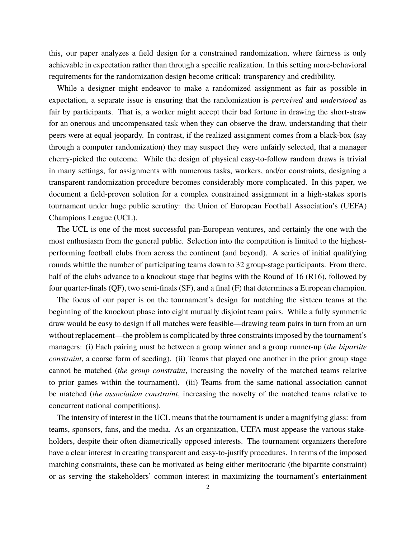this, our paper analyzes a field design for a constrained randomization, where fairness is only achievable in expectation rather than through a specific realization. In this setting more-behavioral requirements for the randomization design become critical: transparency and credibility.

While a designer might endeavor to make a randomized assignment as fair as possible in expectation, a separate issue is ensuring that the randomization is *perceived* and *understood* as fair by participants. That is, a worker might accept their bad fortune in drawing the short-straw for an onerous and uncompensated task when they can observe the draw, understanding that their peers were at equal jeopardy. In contrast, if the realized assignment comes from a black-box (say through a computer randomization) they may suspect they were unfairly selected, that a manager cherry-picked the outcome. While the design of physical easy-to-follow random draws is trivial in many settings, for assignments with numerous tasks, workers, and/or constraints, designing a transparent randomization procedure becomes considerably more complicated. In this paper, we document a field-proven solution for a complex constrained assignment in a high-stakes sports tournament under huge public scrutiny: the Union of European Football Association's (UEFA) Champions League (UCL).

The UCL is one of the most successful pan-European ventures, and certainly the one with the most enthusiasm from the general public. Selection into the competition is limited to the highestperforming football clubs from across the continent (and beyond). A series of initial qualifying rounds whittle the number of participating teams down to 32 group-stage participants. From there, half of the clubs advance to a knockout stage that begins with the Round of 16 (R16), followed by four quarter-finals (QF), two semi-finals (SF), and a final (F) that determines a European champion.

The focus of our paper is on the tournament's design for matching the sixteen teams at the beginning of the knockout phase into eight mutually disjoint team pairs. While a fully symmetric draw would be easy to design if all matches were feasible—drawing team pairs in turn from an urn without replacement—the problem is complicated by three constraints imposed by the tournament's managers: (i) Each pairing must be between a group winner and a group runner-up (*the bipartite constraint*, a coarse form of seeding). (ii) Teams that played one another in the prior group stage cannot be matched (*the group constraint*, increasing the novelty of the matched teams relative to prior games within the tournament). (iii) Teams from the same national association cannot be matched (*the association constraint*, increasing the novelty of the matched teams relative to concurrent national competitions).

The intensity of interest in the UCL means that the tournament is under a magnifying glass: from teams, sponsors, fans, and the media. As an organization, UEFA must appease the various stakeholders, despite their often diametrically opposed interests. The tournament organizers therefore have a clear interest in creating transparent and easy-to-justify procedures. In terms of the imposed matching constraints, these can be motivated as being either meritocratic (the bipartite constraint) or as serving the stakeholders' common interest in maximizing the tournament's entertainment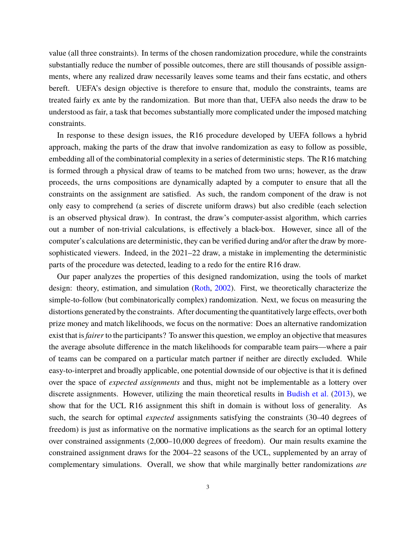value (all three constraints). In terms of the chosen randomization procedure, while the constraints substantially reduce the number of possible outcomes, there are still thousands of possible assignments, where any realized draw necessarily leaves some teams and their fans ecstatic, and others bereft. UEFA's design objective is therefore to ensure that, modulo the constraints, teams are treated fairly ex ante by the randomization. But more than that, UEFA also needs the draw to be understood as fair, a task that becomes substantially more complicated under the imposed matching constraints.

In response to these design issues, the R16 procedure developed by UEFA follows a hybrid approach, making the parts of the draw that involve randomization as easy to follow as possible, embedding all of the combinatorial complexity in a series of deterministic steps. The R16 matching is formed through a physical draw of teams to be matched from two urns; however, as the draw proceeds, the urns compositions are dynamically adapted by a computer to ensure that all the constraints on the assignment are satisfied. As such, the random component of the draw is not only easy to comprehend (a series of discrete uniform draws) but also credible (each selection is an observed physical draw). In contrast, the draw's computer-assist algorithm, which carries out a number of non-trivial calculations, is effectively a black-box. However, since all of the computer's calculations are deterministic, they can be verified during and/or after the draw by moresophisticated viewers. Indeed, in the 2021–22 draw, a mistake in implementing the deterministic parts of the procedure was detected, leading to a redo for the entire R16 draw.

Our paper analyzes the properties of this designed randomization, using the tools of market design: theory, estimation, and simulation (Roth, 2002). First, we theoretically characterize the simple-to-follow (but combinatorically complex) randomization. Next, we focus on measuring the distortions generated by the constraints. After documenting the quantitatively large effects, over both prize money and match likelihoods, we focus on the normative: Does an alternative randomization exist that is*fairer* to the participants? To answer this question, we employ an objective that measures the average absolute difference in the match likelihoods for comparable team pairs—where a pair of teams can be compared on a particular match partner if neither are directly excluded. While easy-to-interpret and broadly applicable, one potential downside of our objective is that it is defined over the space of *expected assignments* and thus, might not be implementable as a lottery over discrete assignments. However, utilizing the main theoretical results in Budish et al. (2013), we show that for the UCL R16 assignment this shift in domain is without loss of generality. As such, the search for optimal *expected* assignments satisfying the constraints (30–40 degrees of freedom) is just as informative on the normative implications as the search for an optimal lottery over constrained assignments (2,000–10,000 degrees of freedom). Our main results examine the constrained assignment draws for the 2004–22 seasons of the UCL, supplemented by an array of complementary simulations. Overall, we show that while marginally better randomizations *are*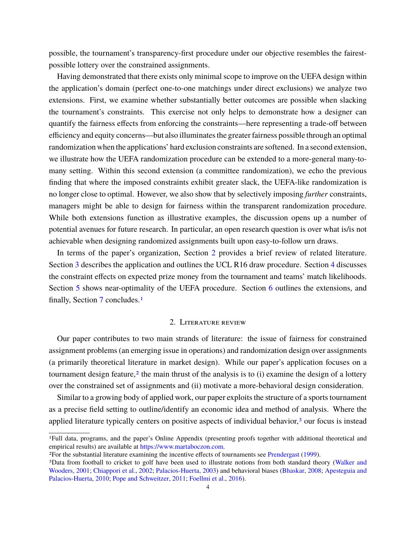possible, the tournament's transparency-first procedure under our objective resembles the fairestpossible lottery over the constrained assignments.

Having demonstrated that there exists only minimal scope to improve on the UEFA design within the application's domain (perfect one-to-one matchings under direct exclusions) we analyze two extensions. First, we examine whether substantially better outcomes are possible when slacking the tournament's constraints. This exercise not only helps to demonstrate how a designer can quantify the fairness effects from enforcing the constraints—here representing a trade-off between efficiency and equity concerns—but also illuminates the greater fairness possible through an optimal randomization when the applications' hard exclusion constraints are softened. In a second extension, we illustrate how the UEFA randomization procedure can be extended to a more-general many-tomany setting. Within this second extension (a committee randomization), we echo the previous finding that where the imposed constraints exhibit greater slack, the UEFA-like randomization is no longer close to optimal. However, we also show that by selectively imposing *further* constraints, managers might be able to design for fairness within the transparent randomization procedure. While both extensions function as illustrative examples, the discussion opens up a number of potential avenues for future research. In particular, an open research question is over what is/is not achievable when designing randomized assignments built upon easy-to-follow urn draws.

In terms of the paper's organization, Section 2 provides a brief review of related literature. Section 3 describes the application and outlines the UCL R16 draw procedure. Section 4 discusses the constraint effects on expected prize money from the tournament and teams' match likelihoods. Section 5 shows near-optimality of the UEFA procedure. Section 6 outlines the extensions, and finally, Section 7 concludes.1

## 2. Literature review

Our paper contributes to two main strands of literature: the issue of fairness for constrained assignment problems (an emerging issue in operations) and randomization design over assignments (a primarily theoretical literature in market design). While our paper's application focuses on a tournament design feature,<sup>2</sup> the main thrust of the analysis is to  $(i)$  examine the design of a lottery over the constrained set of assignments and (ii) motivate a more-behavioral design consideration.

Similar to a growing body of applied work, our paper exploits the structure of a sports tournament as a precise field setting to outline/identify an economic idea and method of analysis. Where the applied literature typically centers on positive aspects of individual behavior, $3$  our focus is instead

<sup>1</sup>Full data, programs, and the paper's Online Appendix (presenting proofs together with additional theoretical and empirical results) are available at [https://www.martaboczon.com.](https://www.martaboczon.com)

<sup>2</sup>For the substantial literature examining the incentive effects of tournaments see Prendergast (1999).

<sup>3</sup>Data from football to cricket to golf have been used to illustrate notions from both standard theory (Walker and Wooders, 2001; Chiappori et al., 2002; Palacios-Huerta, 2003) and behavioral biases (Bhaskar, 2008; Apesteguia and Palacios-Huerta, 2010; Pope and Schweitzer, 2011; Foellmi et al., 2016).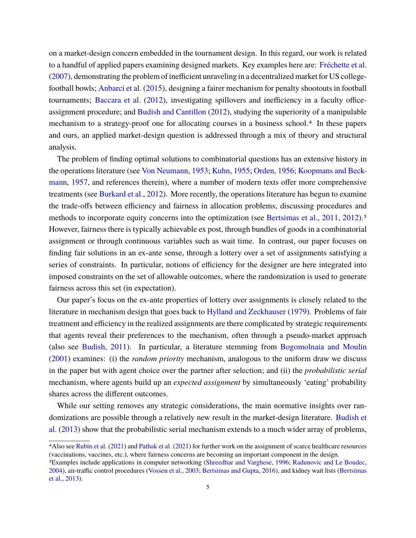on a market-design concern embedded in the tournament design. In this regard, our work is related to a handful of applied papers examining designed markets. Key examples here are: Fréchette et al. (2007), demonstrating the problem of inefficient unraveling in a decentralized market for US collegefootball bowls; Anbarci et al. (2015), designing a fairer mechanism for penalty shootouts in football tournaments; Baccara et al. (2012), investigating spillovers and inefficiency in a faculty officeassignment procedure; and Budish and Cantillon (2012), studying the superiority of a manipulable mechanism to a strategy-proof one for allocating courses in a business school.4 In these papers and ours, an applied market-design question is addressed through a mix of theory and structural analysis.

The problem of finding optimal solutions to combinatorial questions has an extensive history in the operations literature (see Von Neumann, 1953; Kuhn, 1955; Orden, 1956; Koopmans and Beckmann, 1957, and references therein), where a number of modern texts offer more comprehensive treatments (see Burkard et al., 2012). More recently, the operations literature has begun to examine the trade-offs between efficiency and fairness in allocation problems, discussing procedures and methods to incorporate equity concerns into the optimization (see Bertsimas et al., 2011, 2012).<sup>5</sup> However, fairness there is typically achievable ex post, through bundles of goods in a combinatorial assignment or through continuous variables such as wait time. In contrast, our paper focuses on finding fair solutions in an ex-ante sense, through a lottery over a set of assignments satisfying a series of constraints. In particular, notions of efficiency for the designer are here integrated into imposed constraints on the set of allowable outcomes, where the randomization is used to generate fairness across this set (in expectation).

Our paper's focus on the ex-ante properties of lottery over assignments is closely related to the literature in mechanism design that goes back to Hylland and Zeckhauser (1979). Problems of fair treatment and efficiency in the realized assignments are there complicated by strategic requirements that agents reveal their preferences to the mechanism, often through a pseudo-market approach (also see Budish, 2011). In particular, a literature stemming from Bogomolnaia and Moulin (2001) examines: (i) the *random priority* mechanism, analogous to the uniform draw we discuss in the paper but with agent choice over the partner after selection; and (ii) the *probabilistic serial* mechanism, where agents build up an *expected assignment* by simultaneously 'eating' probability shares across the different outcomes.

While our setting removes any strategic considerations, the main normative insights over randomizations are possible through a relatively new result in the market-design literature. Budish et al. (2013) show that the probabilistic serial mechanism extends to a much wider array of problems,

<sup>4</sup>Also see Rubin et al. (2021) and Pathak et al. (2021) for further work on the assignment of scarce healthcare resources (vaccinations, vaccines, etc.), where fairness concerns are becoming an important component in the design.

<sup>5</sup>Examples include applications in computer networking (Shreedhar and Varghese, 1996; Radunovic and Le Boudec, 2004), air-traffic control procedures (Vossen et al., 2003; Bertsimas and Gupta, 2016), and kidney wait lists (Bertsimas et al., 2013).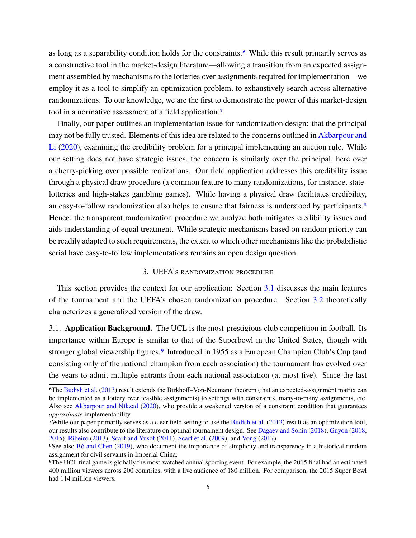as long as a separability condition holds for the constraints.<sup>6</sup> While this result primarily serves as a constructive tool in the market-design literature—allowing a transition from an expected assignment assembled by mechanisms to the lotteries over assignments required for implementation—we employ it as a tool to simplify an optimization problem, to exhaustively search across alternative randomizations. To our knowledge, we are the first to demonstrate the power of this market-design tool in a normative assessment of a field application.7

Finally, our paper outlines an implementation issue for randomization design: that the principal may not be fully trusted. Elements of this idea are related to the concerns outlined in Akbarpour and Li (2020), examining the credibility problem for a principal implementing an auction rule. While our setting does not have strategic issues, the concern is similarly over the principal, here over a cherry-picking over possible realizations. Our field application addresses this credibility issue through a physical draw procedure (a common feature to many randomizations, for instance, statelotteries and high-stakes gambling games). While having a physical draw facilitates credibility, an easy-to-follow randomization also helps to ensure that fairness is understood by participants.<sup>8</sup> Hence, the transparent randomization procedure we analyze both mitigates credibility issues and aids understanding of equal treatment. While strategic mechanisms based on random priority can be readily adapted to such requirements, the extent to which other mechanisms like the probabilistic serial have easy-to-follow implementations remains an open design question.

## 3. UEFA's randomization procedure

This section provides the context for our application: Section 3.1 discusses the main features of the tournament and the UEFA's chosen randomization procedure. Section 3.2 theoretically characterizes a generalized version of the draw.

3.1. **Application Background.** The UCL is the most-prestigious club competition in football. Its importance within Europe is similar to that of the Superbowl in the United States, though with stronger global viewership figures.<sup>9</sup> Introduced in 1955 as a European Champion Club's Cup (and consisting only of the national champion from each association) the tournament has evolved over the years to admit multiple entrants from each national association (at most five). Since the last

<sup>6</sup>The Budish et al. (2013) result extends the Birkhoff–Von-Neumann theorem (that an expected-assignment matrix can be implemented as a lottery over feasible assignments) to settings with constraints, many-to-many assignments, etc. Also see Akbarpour and Nikzad (2020), who provide a weakened version of a constraint condition that guarantees *approximate* implementability.

<sup>7</sup>While our paper primarily serves as a clear field setting to use the Budish et al. (2013) result as an optimization tool, our results also contribute to the literature on optimal tournament design. See Dagaev and Sonin (2018), Guyon (2018, 2015), Ribeiro (2013), Scarf and Yusof (2011), Scarf et al. (2009), and Vong (2017).

<sup>8</sup>See also Bó and Chen (2019), who document the importance of simplicity and transparency in a historical random assignment for civil servants in Imperial China.

<sup>9</sup>The UCL final game is globally the most-watched annual sporting event. For example, the 2015 final had an estimated 400 million viewers across 200 countries, with a live audience of 180 million. For comparison, the 2015 Super Bowl had 114 million viewers.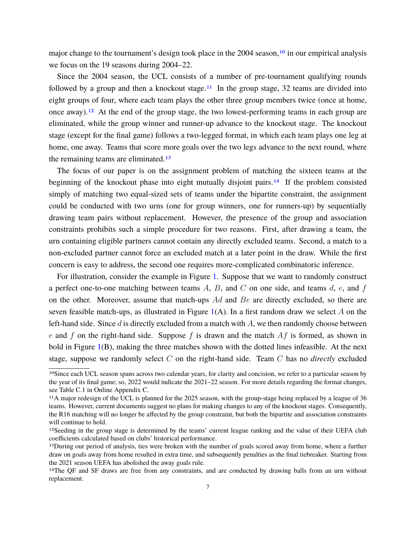major change to the tournament's design took place in the 2004 season,<sup>10</sup> in our empirical analysis we focus on the 19 seasons during 2004–22.

Since the 2004 season, the UCL consists of a number of pre-tournament qualifying rounds followed by a group and then a knockout stage.<sup>11</sup> In the group stage, 32 teams are divided into eight groups of four, where each team plays the other three group members twice (once at home, once away).<sup>12</sup> At the end of the group stage, the two lowest-performing teams in each group are eliminated, while the group winner and runner-up advance to the knockout stage. The knockout stage (except for the final game) follows a two-legged format, in which each team plays one leg at home, one away. Teams that score more goals over the two legs advance to the next round, where the remaining teams are eliminated.13

The focus of our paper is on the assignment problem of matching the sixteen teams at the beginning of the knockout phase into eight mutually disjoint pairs.<sup>14</sup> If the problem consisted simply of matching two equal-sized sets of teams under the bipartite constraint, the assignment could be conducted with two urns (one for group winners, one for runners-up) by sequentially drawing team pairs without replacement. However, the presence of the group and association constraints prohibits such a simple procedure for two reasons. First, after drawing a team, the urn containing eligible partners cannot contain any directly excluded teams. Second, a match to a non-excluded partner cannot force an excluded match at a later point in the draw. While the first concern is easy to address, the second one requires more-complicated combinatoric inference.

For illustration, consider the example in Figure 1. Suppose that we want to randomly construct a perfect one-to-one matching between teams  $A, B$ , and  $C$  on one side, and teams  $d, e$ , and f on the other. Moreover, assume that match-ups  $Ad$  and  $Be$  are directly excluded, so there are seven feasible match-ups, as illustrated in Figure  $1(A)$ . In a first random draw we select A on the left-hand side. Since  $d$  is directly excluded from a match with  $A$ , we then randomly choose between e and f on the right-hand side. Suppose f is drawn and the match  $Af$  is formed, as shown in bold in Figure 1(B), making the three matches shown with the dotted lines infeasible. At the next stage, suppose we randomly select C on the right-hand side. Team C has no *directly* excluded

<sup>10</sup>Since each UCL season spans across two calendar years, for clarity and concision, we refer to a particular season by the year of its final game; so, 2022 would indicate the 2021–22 season. For more details regarding the format changes, see Table C.1 in Online Appendix C.

<sup>11</sup>A major redesign of the UCL is planned for the 2025 season, with the group-stage being replaced by a league of 36 teams. However, current documents suggest no plans for making changes to any of the knockout stages. Consequently, the R16 matching will no longer be affected by the group constraint, but both the bipartite and association constraints will continue to hold.

<sup>&</sup>lt;sup>12</sup>Seeding in the group stage is determined by the teams' current league ranking and the value of their UEFA club coefficients calculated based on clubs' historical performance.

<sup>&</sup>lt;sup>13</sup>During our period of analysis, ties were broken with the number of goals scored away from home, where a further draw on goals away from home resulted in extra time, and subsequently penalties as the final tiebreaker. Starting from the 2021 season UEFA has abolished the away goals rule.

<sup>&</sup>lt;sup>14</sup>The QF and SF draws are free from any constraints, and are conducted by drawing balls from an urn without replacement.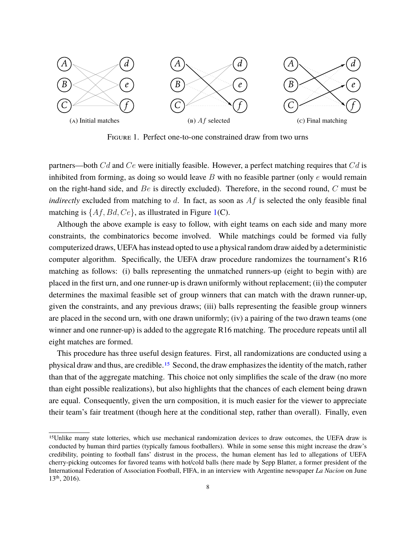

Figure 1. Perfect one-to-one constrained draw from two urns

partners—both  $Cd$  and  $Ce$  were initially feasible. However, a perfect matching requires that  $Cd$  is inhibited from forming, as doing so would leave  $B$  with no feasible partner (only  $e$  would remain on the right-hand side, and  $Be$  is directly excluded). Therefore, in the second round,  $C$  must be *indirectly* excluded from matching to d. In fact, as soon as Af is selected the only feasible final matching is  $\{Af, Bd, Ce\}$ , as illustrated in Figure 1(C).

Although the above example is easy to follow, with eight teams on each side and many more constraints, the combinatorics become involved. While matchings could be formed via fully computerized draws, UEFA has instead opted to use a physical random draw aided by a deterministic computer algorithm. Specifically, the UEFA draw procedure randomizes the tournament's R16 matching as follows: (i) balls representing the unmatched runners-up (eight to begin with) are placed in the first urn, and one runner-up is drawn uniformly without replacement; (ii) the computer determines the maximal feasible set of group winners that can match with the drawn runner-up, given the constraints, and any previous draws; (iii) balls representing the feasible group winners are placed in the second urn, with one drawn uniformly; (iv) a pairing of the two drawn teams (one winner and one runner-up) is added to the aggregate R16 matching. The procedure repeats until all eight matches are formed.

This procedure has three useful design features. First, all randomizations are conducted using a physical draw and thus, are credible.15 Second, the draw emphasizes the identity of the match, rather than that of the aggregate matching. This choice not only simplifies the scale of the draw (no more than eight possible realizations), but also highlights that the chances of each element being drawn are equal. Consequently, given the urn composition, it is much easier for the viewer to appreciate their team's fair treatment (though here at the conditional step, rather than overall). Finally, even

<sup>15</sup>Unlike many state lotteries, which use mechanical randomization devices to draw outcomes, the UEFA draw is conducted by human third parties (typically famous footballers). While in some sense this might increase the draw's credibility, pointing to football fans' distrust in the process, the human element has led to allegations of UEFA cherry-picking outcomes for favored teams with hot/cold balls (here made by Sepp Blatter, a former president of the International Federation of Association Football, FIFA, in an interview with Argentine newspaper *La Nacion* on June 13th, 2016).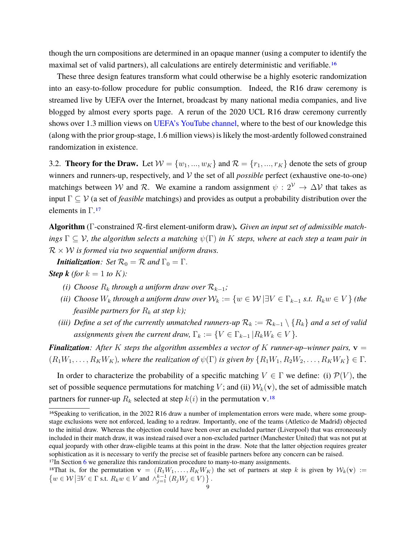though the urn compositions are determined in an opaque manner (using a computer to identify the maximal set of valid partners), all calculations are entirely deterministic and verifiable.16

These three design features transform what could otherwise be a highly esoteric randomization into an easy-to-follow procedure for public consumption. Indeed, the R16 draw ceremony is streamed live by UEFA over the Internet, broadcast by many national media companies, and live blogged by almost every sports page. A rerun of the 2020 UCL R16 draw ceremony currently shows over 1.3 million views on [UEFA's YouTube channel,](https://www.youtube.com/watch?v=iSR4PaAiHn4) where to the best of our knowledge this (along with the prior group-stage, 1.6 million views) is likely the most-ardently followed constrained randomization in existence.

3.2. **Theory for the Draw.** Let  $W = \{w_1, ..., w_K\}$  and  $\mathcal{R} = \{r_1, ..., r_K\}$  denote the sets of group winners and runners-up, respectively, and V the set of all *possible* perfect (exhaustive one-to-one) matchings between W and R. We examine a random assignment  $\psi : 2^{\mathcal{V}} \to \Delta \mathcal{V}$  that takes as input Γ ⊆ V (a set of *feasible* matchings) and provides as output a probability distribution over the elements in  $\Gamma$ .<sup>17</sup>

**Algorithm** (Γ-constrained R-first element-uniform draw)**.** *Given an input set of admissible matchings* Γ ⊆ V*, the algorithm selects a matching* ψ(Γ) *in* K *steps, where at each step a team pair in*  $\mathcal{R} \times \mathcal{W}$  *is formed via two sequential uniform draws.* 

*Initialization: Set*  $\mathcal{R}_0 = \mathcal{R}$  *and*  $\Gamma_0 = \Gamma$ *. Step k* (for  $k = 1$  to K):

- *(i) Choose*  $R_k$  *through a uniform draw over*  $R_{k-1}$ *;*
- *(ii) Choose*  $W_k$  *through a uniform draw over*  $W_k := \{w \in \mathcal{W} \mid \exists V \in \Gamma_{k-1} \text{ s.t. } R_k w \in V \}$  *(the feasible partners for*  $R_k$  *at step*  $k$ *);*
- *(iii) Define a set of the currently unmatched runners-up*  $\mathcal{R}_k := \mathcal{R}_{k-1} \setminus \{R_k\}$  *and a set of valid assignments given the current draw,*  $\Gamma_k := \{ V \in \Gamma_{k-1} | R_k W_k \in V \}.$

*Finalization:* After K steps the algorithm assembles a vector of K runner-up–winner pairs,  $v =$  $(R_1W_1, \ldots, R_KW_K)$ , where the realization of  $\psi(\Gamma)$  is given by  $\{R_1W_1, R_2W_2, \ldots, R_KW_K\} \in \Gamma$ .

In order to characterize the probability of a specific matching  $V \in \Gamma$  we define: (i)  $\mathcal{P}(V)$ , the set of possible sequence permutations for matching V; and (ii)  $W_k(\mathbf{v})$ , the set of admissible match partners for runner-up  $R_k$  selected at step  $k(i)$  in the permutation v.<sup>18</sup>

<sup>&</sup>lt;sup>16</sup>Speaking to verification, in the 2022 R16 draw a number of implementation errors were made, where some groupstage exclusions were not enforced, leading to a redraw. Importantly, one of the teams (Atletico de Madrid) objected to the initial draw. Whereas the objection could have been over an excluded partner (Liverpool) that was erroneously included in their match draw, it was instead raised over a non-excluded partner (Manchester United) that was not put at equal jeopardy with other draw-eligible teams at this point in the draw. Note that the latter objection requires greater sophistication as it is necessary to verify the precise set of feasible partners before any concern can be raised. <sup>17</sup>In Section 6 we generalize this randomization procedure to many-to-many assignments.

<sup>&</sup>lt;sup>18</sup>That is, for the permutation  $\mathbf{v} = (R_1W_1, \ldots, R_KW_K)$  the set of partners at step k is given by  $W_k(\mathbf{v}) :=$  $\{w \in \mathcal{W} \mid \exists V \in \Gamma \text{ s.t. } R_k w \in V \text{ and } \wedge_{j=1}^{k-1} (R_j W_j \in V) \}$ .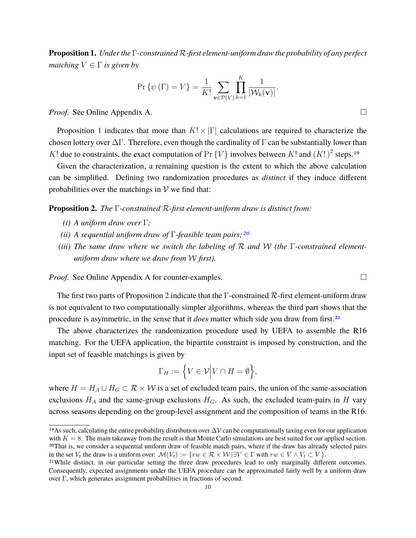**Proposition 1.** *Under the* Γ*-constrained* R*-first element-uniform draw the probability of any perfect matching*  $V \in \Gamma$  *is given by* 

$$
\Pr\left\{\psi\left(\Gamma\right) = V\right\} = \frac{1}{K!} \sum_{\mathbf{v} \in \mathcal{P}\left(V\right)} \prod_{k=1}^{K} \frac{1}{|\mathcal{W}_k(\mathbf{v})|}.
$$

*Proof.* See Online Appendix A. □

Proposition 1 indicates that more than  $K! \times |\Gamma|$  calculations are required to characterize the chosen lottery over  $\Delta\Gamma$ . Therefore, even though the cardinality of  $\Gamma$  can be substantially lower than K! due to constraints, the exact computation of Pr  $\{V\}$  involves between K! and  $(K!)^2$  steps.<sup>19</sup>

Given the characterization, a remaining question is the extent to which the above calculation can be simplified. Defining two randomization procedures as *distinct* if they induce different probabilities over the matchings in  $V$  we find that:

#### **Proposition 2.** *The* Γ*-constrained* R*-first element-uniform draw is distinct from:*

- *(i) A uniform draw over* Γ*;*
- *(ii) A sequential uniform draw of* Γ*-feasible team pairs;20*
- *(iii) The same draw where we switch the labeling of* R *and* W *(the* Γ*-constrained elementuniform draw where we draw from* W *first).*

*Proof.* See Online Appendix A for counter-examples. □

The first two parts of Proposition 2 indicate that the Γ-constrained R-first element-uniform draw is not equivalent to two computationally simpler algorithms, whereas the third part shows that the procedure is asymmetric, in the sense that it *does* matter which side you draw from first.21

The above characterizes the randomization procedure used by UEFA to assemble the R16 matching. For the UEFA application, the bipartite constraint is imposed by construction, and the input set of feasible matchings is given by

$$
\Gamma_H := \Big\{ V \in \mathcal{V} \Big| V \cap H = \emptyset \Big\},\
$$

where  $H = H_A \cup H_G \subset \mathcal{R} \times \mathcal{W}$  is a set of excluded team pairs, the union of the same-association exclusions  $H_A$  and the same-group exclusions  $H_G$ . As such, the excluded team-pairs in H vary across seasons depending on the group-level assignment and the composition of teams in the R16.

<sup>&</sup>lt;sup>19</sup>As such, calculating the entire probability distribution over  $\Delta$ *V* can be computationally taxing even for our application with  $K = 8$ . The main takeaway from the result is that Monte Carlo simulations are best suited for our applied section. 20That is, we consider a sequential uniform draw of feasible match pairs, where if the draw has already selected pairs in the set  $V_t$  the draw is a uniform over:  $\mathcal{M}(V_t) := \{ rw \in \mathcal{R} \times \mathcal{W} \mid \exists V \in \Gamma \text{ with } rw \in V \land V_t \subset V \}.$ 

<sup>21</sup>While distinct, in our particular setting the three draw procedures lead to only marginally different outcomes. Consequently, expected assignments under the UEFA procedure can be approximated fairly well by a uniform draw over Γ, which generates assignment probabilities in fractions of second.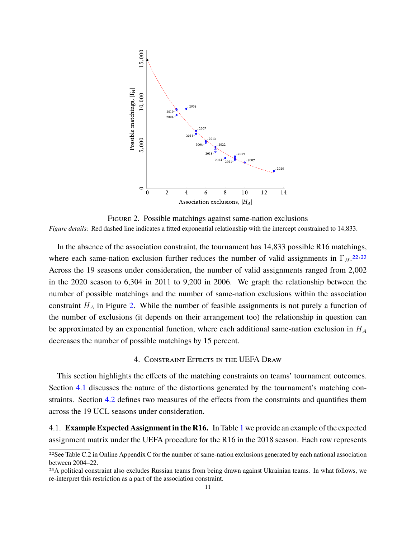

Figure 2. Possible matchings against same-nation exclusions *Figure details:* Red dashed line indicates a fitted exponential relationship with the intercept constrained to 14,833.

In the absence of the association constraint, the tournament has 14,833 possible R16 matchings, where each same-nation exclusion further reduces the number of valid assignments in  $\Gamma_H$ <sup>22,23</sup> Across the 19 seasons under consideration, the number of valid assignments ranged from 2,002 in the 2020 season to 6,304 in 2011 to 9,200 in 2006. We graph the relationship between the number of possible matchings and the number of same-nation exclusions within the association constraint  $H_A$  in Figure 2. While the number of feasible assignments is not purely a function of the number of exclusions (it depends on their arrangement too) the relationship in question can be approximated by an exponential function, where each additional same-nation exclusion in  $H_A$ decreases the number of possible matchings by 15 percent.

## 4. Constraint Effects in the UEFA Draw

This section highlights the effects of the matching constraints on teams' tournament outcomes. Section 4.1 discusses the nature of the distortions generated by the tournament's matching constraints. Section 4.2 defines two measures of the effects from the constraints and quantifies them across the 19 UCL seasons under consideration.

4.1. **Example Expected Assignment in the R16.** In Table 1 we provide an example of the expected assignment matrix under the UEFA procedure for the R16 in the 2018 season. Each row represents

<sup>22</sup>See Table C.2 in Online Appendix C for the number of same-nation exclusions generated by each national association between 2004–22.

<sup>&</sup>lt;sup>23</sup>A political constraint also excludes Russian teams from being drawn against Ukrainian teams. In what follows, we re-interpret this restriction as a part of the association constraint.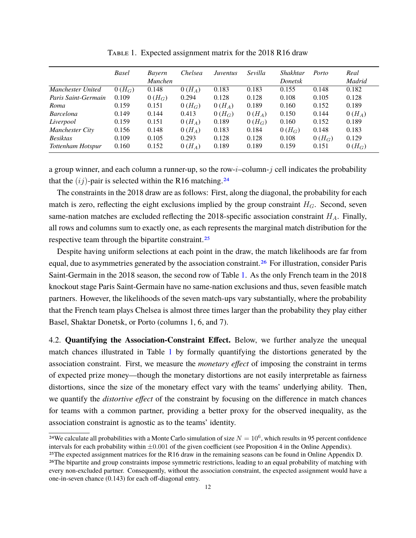|                     | <b>Basel</b> | Bayern<br><i>Munchen</i> | Chelsea  | Juventus | Sevilla  | Shakhtar<br>Donetsk | Porto    | Real<br>Madrid |
|---------------------|--------------|--------------------------|----------|----------|----------|---------------------|----------|----------------|
| Manchester United   | $0(H_G)$     | 0.148                    | $0(H_A)$ | 0.183    | 0.183    | 0.155               | 0.148    | 0.182          |
| Paris Saint-Germain | 0.109        | $0(H_G)$                 | 0.294    | 0.128    | 0.128    | 0.108               | 0.105    | 0.128          |
| Roma                | 0.159        | 0.151                    | $0(H_G)$ | $0(H_A)$ | 0.189    | 0.160               | 0.152    | 0.189          |
| <b>Barcelona</b>    | 0.149        | 0.144                    | 0.413    | $0(H_G)$ | $0(H_A)$ | 0.150               | 0.144    | $0(H_A)$       |
| Liverpool           | 0.159        | 0.151                    | $0(H_A)$ | 0.189    | $0(H_G)$ | 0.160               | 0.152    | 0.189          |
| Manchester City     | 0.156        | 0.148                    | $0(H_A)$ | 0.183    | 0.184    | $0(H_G)$            | 0.148    | 0.183          |
| <b>Besiktas</b>     | 0.109        | 0.105                    | 0.293    | 0.128    | 0.128    | 0.108               | $0(H_G)$ | 0.129          |
| Tottenham Hotspur   | 0.160        | 0.152                    | $0(H_A)$ | 0.189    | 0.189    | 0.159               | 0.151    | $0(H_G)$       |

TABLE 1. Expected assignment matrix for the 2018 R16 draw

a group winner, and each column a runner-up, so the row- $i$ –column- $j$  cell indicates the probability that the  $(i)$ -pair is selected within the R16 matching.<sup>24</sup>

The constraints in the 2018 draw are as follows: First, along the diagonal, the probability for each match is zero, reflecting the eight exclusions implied by the group constraint  $H_G$ . Second, seven same-nation matches are excluded reflecting the 2018-specific association constraint  $H_A$ . Finally, all rows and columns sum to exactly one, as each represents the marginal match distribution for the respective team through the bipartite constraint.25

Despite having uniform selections at each point in the draw, the match likelihoods are far from equal, due to asymmetries generated by the association constraint.<sup>26</sup> For illustration, consider Paris Saint-Germain in the 2018 season, the second row of Table 1. As the only French team in the 2018 knockout stage Paris Saint-Germain have no same-nation exclusions and thus, seven feasible match partners. However, the likelihoods of the seven match-ups vary substantially, where the probability that the French team plays Chelsea is almost three times larger than the probability they play either Basel, Shaktar Donetsk, or Porto (columns 1, 6, and 7).

4.2. **Quantifying the Association-Constraint Effect.** Below, we further analyze the unequal match chances illustrated in Table 1 by formally quantifying the distortions generated by the association constraint. First, we measure the *monetary effect* of imposing the constraint in terms of expected prize money—though the monetary distortions are not easily interpretable as fairness distortions, since the size of the monetary effect vary with the teams' underlying ability. Then, we quantify the *distortive effect* of the constraint by focusing on the difference in match chances for teams with a common partner, providing a better proxy for the observed inequality, as the association constraint is agnostic as to the teams' identity.

<sup>&</sup>lt;sup>24</sup>We calculate all probabilities with a Monte Carlo simulation of size  $N = 10^6$ , which results in 95 percent confidence intervals for each probability within  $\pm 0.001$  of the given coefficient (see Proposition 4 in the Online Appendix).

<sup>25</sup>The expected assignment matrices for the R16 draw in the remaining seasons can be found in Online Appendix D. <sup>26</sup>The bipartite and group constraints impose symmetric restrictions, leading to an equal probability of matching with every non-excluded partner. Consequently, without the association constraint, the expected assignment would have a one-in-seven chance (0.143) for each off-diagonal entry.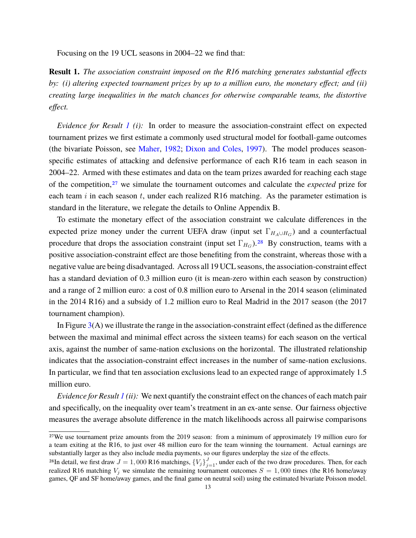Focusing on the 19 UCL seasons in 2004–22 we find that:

**Result 1.** *The association constraint imposed on the R16 matching generates substantial effects by: (i) altering expected tournament prizes by up to a million euro, the monetary effect; and (ii) creating large inequalities in the match chances for otherwise comparable teams, the distortive effect.*

*Evidence for Result 1 (i):* In order to measure the association-constraint effect on expected tournament prizes we first estimate a commonly used structural model for football-game outcomes (the bivariate Poisson, see Maher, 1982; Dixon and Coles, 1997). The model produces seasonspecific estimates of attacking and defensive performance of each R16 team in each season in 2004–22. Armed with these estimates and data on the team prizes awarded for reaching each stage of the competition,27 we simulate the tournament outcomes and calculate the *expected* prize for each team  $i$  in each season  $t$ , under each realized R16 matching. As the parameter estimation is standard in the literature, we relegate the details to Online Appendix B.

To estimate the monetary effect of the association constraint we calculate differences in the expected prize money under the current UEFA draw (input set  $\Gamma_{H_A \cup H_G}$ ) and a counterfactual procedure that drops the association constraint (input set  $\Gamma_{H_G}$ ).<sup>28</sup> By construction, teams with a positive association-constraint effect are those benefiting from the constraint, whereas those with a negative value are being disadvantaged. Across all 19 UCL seasons, the association-constraint effect has a standard deviation of 0.3 million euro (it is mean-zero within each season by construction) and a range of 2 million euro: a cost of 0.8 million euro to Arsenal in the 2014 season (eliminated in the 2014 R16) and a subsidy of 1.2 million euro to Real Madrid in the 2017 season (the 2017 tournament champion).

In Figure  $3(A)$  we illustrate the range in the association-constraint effect (defined as the difference between the maximal and minimal effect across the sixteen teams) for each season on the vertical axis, against the number of same-nation exclusions on the horizontal. The illustrated relationship indicates that the association-constraint effect increases in the number of same-nation exclusions. In particular, we find that ten association exclusions lead to an expected range of approximately 1.5 million euro.

*Evidence for Result 1 (ii):* We next quantify the constraint effect on the chances of each match pair and specifically, on the inequality over team's treatment in an ex-ante sense. Our fairness objective measures the average absolute difference in the match likelihoods across all pairwise comparisons

<sup>27</sup>We use tournament prize amounts from the 2019 season: from a minimum of approximately 19 million euro for a team exiting at the R16, to just over 48 million euro for the team winning the tournament. Actual earnings are substantially larger as they also include media payments, so our figures underplay the size of the effects.

<sup>&</sup>lt;sup>28</sup>In detail, we first draw  $J = 1,000$  R16 matchings,  $\{V_j\}_{j=1}^J$ , under each of the two draw procedures. Then, for each realized R16 matching  $V_j$  we simulate the remaining tournament outcomes  $S = 1,000$  times (the R16 home/away games, QF and SF home/away games, and the final game on neutral soil) using the estimated bivariate Poisson model.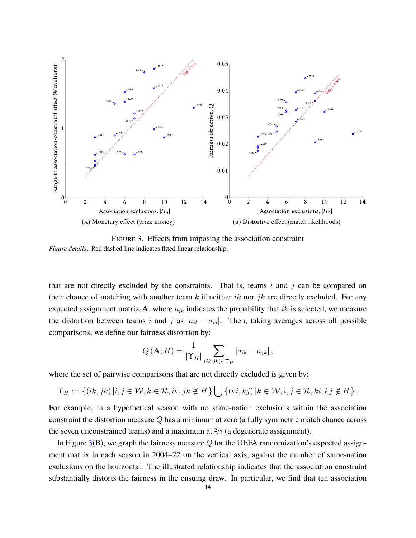

FIGURE 3. Effects from imposing the association constraint *Figure details:* Red dashed line indicates fitted linear relationship.

that are not directly excluded by the constraints. That is, teams  $i$  and  $j$  can be compared on their chance of matching with another team  $k$  if neither  $ik$  nor  $jk$  are directly excluded. For any expected assignment matrix A, where  $a_{ik}$  indicates the probability that ik is selected, we measure the distortion between teams i and j as  $|a_{ik} - a_{ij}|$ . Then, taking averages across all possible comparisons, we define our fairness distortion by:

$$
Q(\mathbf{A};H) = \frac{1}{|\Upsilon_H|} \sum_{(ik,jk)\in\Upsilon_H} |a_{ik} - a_{jk}|,
$$

where the set of pairwise comparisons that are not directly excluded is given by:

$$
\Upsilon_H := \left\{ (ik, jk) \, | i, j \in \mathcal{W}, k \in \mathcal{R}, ik, jk \notin H \right\} \bigcup \left\{ (ki, kj) \, | k \in \mathcal{W}, i, j \in \mathcal{R}, ki, kj \notin H \right\}.
$$

For example, in a hypothetical season with no same-nation exclusions within the association constraint the distortion measure Q has a minimum at zero (a fully symmetric match chance across the seven unconstrained teams) and a maximum at  $\frac{2}{7}$  (a degenerate assignment).

In Figure  $3(B)$ , we graph the fairness measure Q for the UEFA randomization's expected assignment matrix in each season in 2004–22 on the vertical axis, against the number of same-nation exclusions on the horizontal. The illustrated relationship indicates that the association constraint substantially distorts the fairness in the ensuing draw. In particular, we find that ten association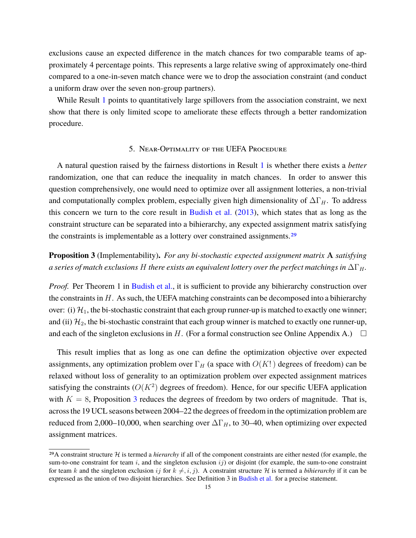exclusions cause an expected difference in the match chances for two comparable teams of approximately 4 percentage points. This represents a large relative swing of approximately one-third compared to a one-in-seven match chance were we to drop the association constraint (and conduct a uniform draw over the seven non-group partners).

While Result 1 points to quantitatively large spillovers from the association constraint, we next show that there is only limited scope to ameliorate these effects through a better randomization procedure.

## 5. Near-Optimality of the UEFA Procedure

A natural question raised by the fairness distortions in Result 1 is whether there exists a *better* randomization, one that can reduce the inequality in match chances. In order to answer this question comprehensively, one would need to optimize over all assignment lotteries, a non-trivial and computationally complex problem, especially given high dimensionality of  $\Delta\Gamma_H$ . To address this concern we turn to the core result in Budish et al. (2013), which states that as long as the constraint structure can be separated into a bihierarchy, any expected assignment matrix satisfying the constraints is implementable as a lottery over constrained assignments.<sup>29</sup>

# **Proposition 3** (Implementability)**.** *For any bi-stochastic expected assignment matrix* A *satisfying a series of match exclusions* H *there exists an equivalent lottery over the perfect matchings in*  $\Delta\Gamma_H$ .

*Proof.* Per Theorem 1 in Budish et al., it is sufficient to provide any bihierarchy construction over the constraints in  $H$ . As such, the UEFA matching constraints can be decomposed into a bihierarchy over: (i)  $\mathcal{H}_1$ , the bi-stochastic constraint that each group runner-up is matched to exactly one winner; and (ii)  $\mathcal{H}_2$ , the bi-stochastic constraint that each group winner is matched to exactly one runner-up, and each of the singleton exclusions in H. (For a formal construction see Online Appendix A.)  $\Box$ 

This result implies that as long as one can define the optimization objective over expected assignments, any optimization problem over  $\Gamma_H$  (a space with  $O(K!)$ ) degrees of freedom) can be relaxed without loss of generality to an optimization problem over expected assignment matrices satisfying the constraints  $(O(K^2)$  degrees of freedom). Hence, for our specific UEFA application with  $K = 8$ , Proposition 3 reduces the degrees of freedom by two orders of magnitude. That is, across the 19 UCL seasons between 2004–22 the degrees of freedom in the optimization problem are reduced from 2,000–10,000, when searching over  $\Delta\Gamma_H$ , to 30–40, when optimizing over expected assignment matrices.

<sup>29</sup>A constraint structure H is termed a *hierarchy* if all of the component constraints are either nested (for example, the sum-to-one constraint for team i, and the singleton exclusion  $ij$ ) or disjoint (for example, the sum-to-one constraint for team k and the singleton exclusion ij for  $k \neq i, j$ . A constraint structure H is termed a *bihierarchy* if it can be expressed as the union of two disjoint hierarchies. See Definition 3 in Budish et al. for a precise statement.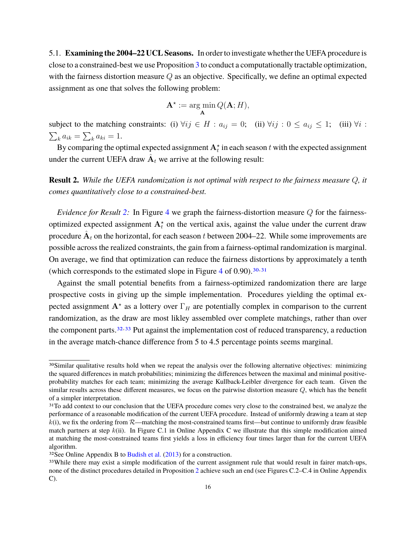5.1. **Examining the 2004–22 UCL Seasons.** In order to investigate whether the UEFA procedure is close to a constrained-best we use Proposition 3 to conduct a computationally tractable optimization, with the fairness distortion measure Q as an objective. Specifically, we define an optimal expected assignment as one that solves the following problem:

$$
\mathbf{A}^* := \argmin_{\mathbf{A}} Q(\mathbf{A}; H),
$$

subject to the matching constraints: (i)  $\forall ij \in H : a_{ij} = 0$ ; (ii)  $\forall ij : 0 \le a_{ij} \le 1$ ; (iii)  $\forall i$ :  $\sum_k a_{ik} = \sum_k a_{ki} = 1.$ 

By comparing the optimal expected assignment  $\mathbf{A}_t^{\star}$  in each season  $t$  with the expected assignment under the current UEFA draw  $\hat{\textbf{A}}_t$  we arrive at the following result:

**Result 2.** *While the UEFA randomization is not optimal with respect to the fairness measure* Q*, it comes quantitatively close to a constrained-best.*

*Evidence for Result* 2: In Figure 4 we graph the fairness-distortion measure Q for the fairnessoptimized expected assignment  $A_t^*$  on the vertical axis, against the value under the current draw procedure  $\hat{\textbf{A}}_t$  on the horizontal, for each season  $t$  between 2004–22. While some improvements are possible across the realized constraints, the gain from a fairness-optimal randomization is marginal. On average, we find that optimization can reduce the fairness distortions by approximately a tenth (which corresponds to the estimated slope in Figure  $\frac{4}{10}(0.90)$ .  $\frac{30}{31}$ 

Against the small potential benefits from a fairness-optimized randomization there are large prospective costs in giving up the simple implementation. Procedures yielding the optimal expected assignment  $A^*$  as a lottery over  $\Gamma_H$  are potentially complex in comparison to the current randomization, as the draw are most likley assembled over complete matchings, rather than over the component parts,  $32,33$  Put against the implementation cost of reduced transparency, a reduction in the average match-chance difference from 5 to 4.5 percentage points seems marginal.

<sup>30</sup>Similar qualitative results hold when we repeat the analysis over the following alternative objectives: minimizing the squared differences in match probabilities; minimizing the differences between the maximal and minimal positiveprobability matches for each team; minimizing the average Kullback-Leibler divergence for each team. Given the similar results across these different measures, we focus on the pairwise distortion measure  $Q$ , which has the benefit of a simpler interpretation.

<sup>&</sup>lt;sup>31</sup>To add context to our conclusion that the UEFA procedure comes very close to the constrained best, we analyze the performance of a reasonable modification of the current UEFA procedure. Instead of uniformly drawing a team at step  $k(i)$ , we fix the ordering from  $R$ —matching the most-constrained teams first—but continue to uniformly draw feasible match partners at step  $k(i)$ . In Figure C.1 in Online Appendix C we illustrate that this simple modification aimed at matching the most-constrained teams first yields a loss in efficiency four times larger than for the current UEFA algorithm.

 $32$ See Online Appendix B to Budish et al. (2013) for a construction.

<sup>&</sup>lt;sup>33</sup>While there may exist a simple modification of the current assignment rule that would result in fairer match-ups, none of the distinct procedures detailed in Proposition 2 achieve such an end (see Figures C.2–C.4 in Online Appendix C).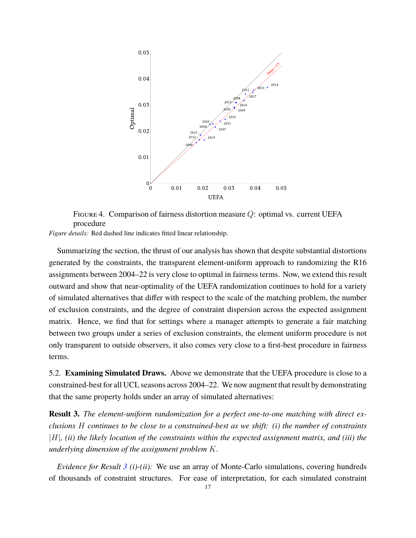

Figure 4. Comparison of fairness distortion measure Q: optimal vs. current UEFA procedure

*Figure details:* Red dashed line indicates fitted linear relationship.

Summarizing the section, the thrust of our analysis has shown that despite substantial distortions generated by the constraints, the transparent element-uniform approach to randomizing the R16 assignments between 2004–22 is very close to optimal in fairness terms. Now, we extend this result outward and show that near-optimality of the UEFA randomization continues to hold for a variety of simulated alternatives that differ with respect to the scale of the matching problem, the number of exclusion constraints, and the degree of constraint dispersion across the expected assignment matrix. Hence, we find that for settings where a manager attempts to generate a fair matching between two groups under a series of exclusion constraints, the element uniform procedure is not only transparent to outside observers, it also comes very close to a first-best procedure in fairness terms.

5.2. **Examining Simulated Draws.** Above we demonstrate that the UEFA procedure is close to a constrained-best for all UCL seasons across 2004–22. We now augment that result by demonstrating that the same property holds under an array of simulated alternatives:

**Result 3.** *The element-uniform randomization for a perfect one-to-one matching with direct exclusions* H *continues to be close to a constrained-best as we shift: (i) the number of constraints* |H|*, (ii) the likely location of the constraints within the expected assignment matrix, and (iii) the underlying dimension of the assignment problem* K*.*

*Evidence for Result 3 (i)-(ii):* We use an array of Monte-Carlo simulations, covering hundreds of thousands of constraint structures. For ease of interpretation, for each simulated constraint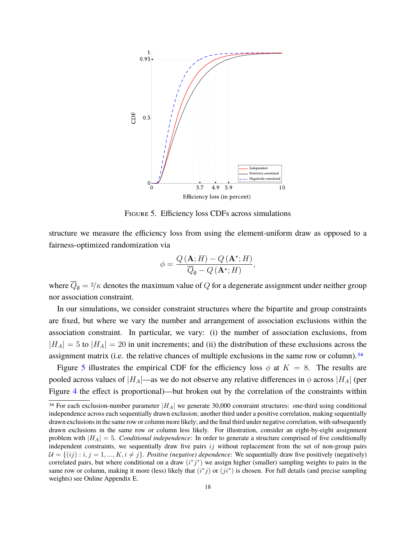

Figure 5. Efficiency loss CDFs across simulations

structure we measure the efficiency loss from using the element-uniform draw as opposed to a fairness-optimized randomization via

$$
\phi = \frac{Q(\mathbf{A}; H) - Q(\mathbf{A}^{\star}; H)}{\overline{Q}_{\emptyset} - Q(\mathbf{A}^{\star}; H)},
$$

where  $\overline{Q}_\emptyset = \frac{2}{K}$  denotes the maximum value of Q for a degenerate assignment under neither group nor association constraint.

In our simulations, we consider constraint structures where the bipartite and group constraints are fixed, but where we vary the number and arrangement of association exclusions within the association constraint. In particular, we vary: (i) the number of association exclusions, from  $|H_A| = 5$  to  $|H_A| = 20$  in unit increments; and (ii) the distribution of these exclusions across the assignment matrix (i.e. the relative chances of multiple exclusions in the same row or column).34

Figure 5 illustrates the empirical CDF for the efficiency loss  $\phi$  at  $K = 8$ . The results are pooled across values of  $|H_A|$ —as we do not observe any relative differences in  $\phi$  across  $|H_A|$  (per Figure 4 the effect is proportional)—but broken out by the correlation of the constraints within

<sup>&</sup>lt;sup>34</sup> For each exclusion-number parameter  $|H_A|$  we generate 30,000 constraint structures: one-third using conditional independence across each sequentially drawn exclusion; another third under a positive correlation, making sequentially drawn exclusions in the same row or column more likely; and the final third under negative correlation, with subsequently drawn exclusions in the same row or column less likely. For illustration, consider an eight-by-eight assignment problem with  $|H_A| = 5$ . *Conditional independence*: In order to generate a structure comprised of five conditionally independent constraints, we sequentially draw five pairs  $ij$  without replacement from the set of non-group pairs  $U = \{(ij) : i, j = 1, ..., K, i \neq j\}$ . *Positive (negative) dependence*: We sequentially draw five positively (negatively) correlated pairs, but where conditional on a draw  $(i^*j^*)$  we assign higher (smaller) sampling weights to pairs in the same row or column, making it more (less) likely that  $(i^*j)$  or  $(ji^*)$  is chosen. For full details (and precise sampling weights) see Online Appendix E.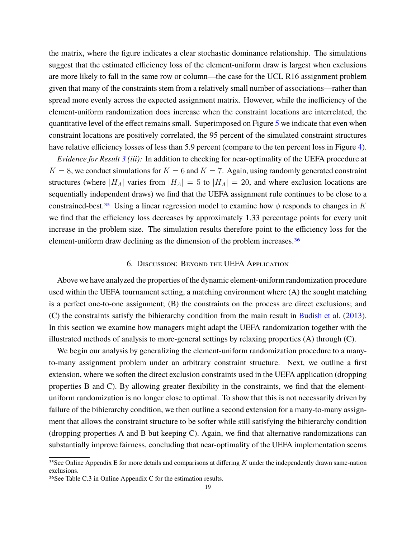the matrix, where the figure indicates a clear stochastic dominance relationship. The simulations suggest that the estimated efficiency loss of the element-uniform draw is largest when exclusions are more likely to fall in the same row or column—the case for the UCL R16 assignment problem given that many of the constraints stem from a relatively small number of associations—rather than spread more evenly across the expected assignment matrix. However, while the inefficiency of the element-uniform randomization does increase when the constraint locations are interrelated, the quantitative level of the effect remains small. Superimposed on Figure 5 we indicate that even when constraint locations are positively correlated, the 95 percent of the simulated constraint structures have relative efficiency losses of less than 5.9 percent (compare to the ten percent loss in Figure 4).

*Evidence for Result 3 (iii):* In addition to checking for near-optimality of the UEFA procedure at  $K = 8$ , we conduct simulations for  $K = 6$  and  $K = 7$ . Again, using randomly generated constraint structures (where  $|H_A|$  varies from  $|H_A| = 5$  to  $|H_A| = 20$ , and where exclusion locations are sequentially independent draws) we find that the UEFA assignment rule continues to be close to a constrained-best.<sup>35</sup> Using a linear regression model to examine how  $\phi$  responds to changes in K we find that the efficiency loss decreases by approximately 1.33 percentage points for every unit increase in the problem size. The simulation results therefore point to the efficiency loss for the element-uniform draw declining as the dimension of the problem increases.<sup>36</sup>

## 6. Discussion: Beyond the UEFA Application

Above we have analyzed the properties of the dynamic element-uniform randomization procedure used within the UEFA tournament setting, a matching environment where (A) the sought matching is a perfect one-to-one assignment; (B) the constraints on the process are direct exclusions; and (C) the constraints satisfy the bihierarchy condition from the main result in Budish et al. (2013). In this section we examine how managers might adapt the UEFA randomization together with the illustrated methods of analysis to more-general settings by relaxing properties (A) through (C).

We begin our analysis by generalizing the element-uniform randomization procedure to a manyto-many assignment problem under an arbitrary constraint structure. Next, we outline a first extension, where we soften the direct exclusion constraints used in the UEFA application (dropping properties B and C). By allowing greater flexibility in the constraints, we find that the elementuniform randomization is no longer close to optimal. To show that this is not necessarily driven by failure of the bihierarchy condition, we then outline a second extension for a many-to-many assignment that allows the constraint structure to be softer while still satisfying the bihierarchy condition (dropping properties A and B but keeping C). Again, we find that alternative randomizations can substantially improve fairness, concluding that near-optimality of the UEFA implementation seems

<sup>&</sup>lt;sup>35</sup>See Online Appendix E for more details and comparisons at differing  $K$  under the independently drawn same-nation exclusions.

<sup>36</sup>See Table C.3 in Online Appendix C for the estimation results.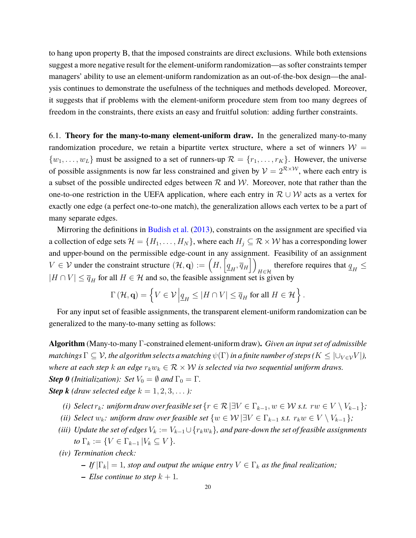to hang upon property B, that the imposed constraints are direct exclusions. While both extensions suggest a more negative result for the element-uniform randomization—as softer constraints temper managers' ability to use an element-uniform randomization as an out-of-the-box design—the analysis continues to demonstrate the usefulness of the techniques and methods developed. Moreover, it suggests that if problems with the element-uniform procedure stem from too many degrees of freedom in the constraints, there exists an easy and fruitful solution: adding further constraints.

6.1. **Theory for the many-to-many element-uniform draw.** In the generalized many-to-many randomization procedure, we retain a bipartite vertex structure, where a set of winners  $W =$  $\{w_1, \ldots, w_L\}$  must be assigned to a set of runners-up  $\mathcal{R} = \{r_1, \ldots, r_K\}$ . However, the universe of possible assignments is now far less constrained and given by  $\mathcal{V} = 2^{\mathcal{R} \times \mathcal{W}}$ , where each entry is a subset of the possible undirected edges between  $R$  and  $W$ . Moreover, note that rather than the one-to-one restriction in the UEFA application, where each entry in  $\mathcal{R} \cup \mathcal{W}$  acts as a vertex for exactly one edge (a perfect one-to-one match), the generalization allows each vertex to be a part of many separate edges.

Mirroring the definitions in Budish et al. (2013), constraints on the assignment are specified via a collection of edge sets  $\mathcal{H} = \{H_1, \ldots, H_N\}$ , where each  $H_j \subseteq \mathcal{R} \times \mathcal{W}$  has a corresponding lower and upper-bound on the permissible edge-count in any assignment. Feasibility of an assignment  $V \in \mathcal{V}$  under the constraint structure  $(\mathcal{H}, \mathbf{q}) := \left( H, \left[ \underline{q}_H, \overline{q}_H \right] \right)$ therefore requires that  $q_H \leq$  $|H \cap V| \leq \overline{q}_H$  for all  $H \in \mathcal{H}$  and so, the feasible assignment set is given by

$$
\Gamma(\mathcal{H}, \mathbf{q}) = \left\{ V \in \mathcal{V} \left| \underline{q}_H \leq |H \cap V| \leq \overline{q}_H \text{ for all } H \in \mathcal{H} \right. \right\}.
$$

For any input set of feasible assignments, the transparent element-uniform randomization can be generalized to the many-to-many setting as follows:

**Algorithm** (Many-to-many Γ-constrained element-uniform draw)**.** *Given an input set of admissible matchings*  $\Gamma \subseteq V$ , the algorithm selects a matching  $\psi(\Gamma)$  in a finite number of steps ( $K \leq |\cup_{V \in V} V|$ ), *where at each step* k *an edge*  $r_k w_k \in \mathcal{R} \times \mathcal{W}$  *is selected via two sequential uniform draws. Step 0 (Initialization): Set*  $V_0 = \emptyset$  *and*  $\Gamma_0 = \Gamma$ *.* **Step k** *(draw selected edge*  $k = 1, 2, 3, \ldots$  ):

- *(i) Select*  $r_k$ *: uniform draw over feasible set*  $\{r \in \mathcal{R} \mid \exists V \in \Gamma_{k-1}, w \in W \text{ s.t. } rw \in V \setminus V_{k-1}\}$ ;
- *(ii) Select*  $w_k$ : *uniform draw over feasible set*  $\{w \in \mathcal{W} \mid \exists V \in \Gamma_{k-1} \text{ s.t. } r_k w \in V \setminus V_{k-1} \}$ ;
- *(iii) Update the set of edges*  $V_k := V_{k-1} \cup \{r_k w_k\}$ *, and pare-down the set of feasible assignments to*  $\Gamma_k := \{ V \in \Gamma_{k-1} \mid V_k \subseteq V \}.$
- *(iv) Termination check:*
	- *– If*  $|\Gamma_k| = 1$ *, stop and output the unique entry*  $V \in \Gamma_k$  *as the final realization;*
	- *– Else continue to step*  $k + 1$ *.*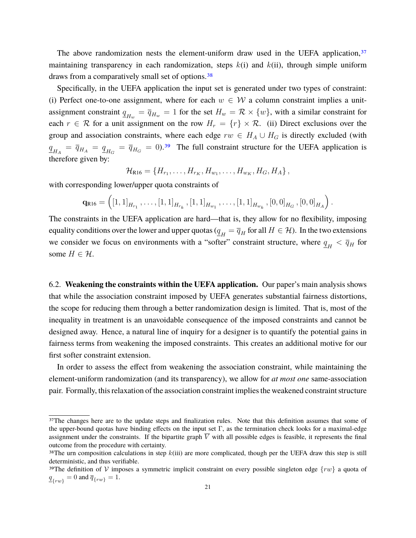The above randomization nests the element-uniform draw used in the UEFA application,  $37$ maintaining transparency in each randomization, steps  $k(i)$  and  $k(ii)$ , through simple uniform draws from a comparatively small set of options.<sup>38</sup>

Specifically, in the UEFA application the input set is generated under two types of constraint: (i) Perfect one-to-one assignment, where for each  $w \in W$  a column constraint implies a unitassignment constraint  $\underline{q}_{H_w} = \overline{q}_{H_w} = 1$  for the set  $H_w = \mathcal{R} \times \{w\}$ , with a similar constraint for each  $r \in \mathcal{R}$  for a unit assignment on the row  $H_r = \{r\} \times \mathcal{R}$ . (ii) Direct exclusions over the group and association constraints, where each edge  $rw \in H_A \cup H_G$  is directly excluded (with  $q_{H_A} = \bar{q}_{H_A} = \underline{q}_{H_G} = \bar{q}_{H_G} = 0$ .<sup>39</sup> The full constraint structure for the UEFA application is therefore given by:

$$
\mathcal{H}_{R16} = \{H_{r_1}, \ldots, H_{r_K}, H_{w_1}, \ldots, H_{w_K}, H_G, H_A\},\,
$$

with corresponding lower/upper quota constraints of

$$
\mathbf{q}_{R16} = \left( \left[ 1, 1 \right]_{H_{r_1}}, \ldots, \left[ 1, 1 \right]_{H_{r_k}}, \left[ 1, 1 \right]_{H_{w_1}}, \ldots, \left[ 1, 1 \right]_{H_{w_k}}, \left[ 0, 0 \right]_{H_G}, \left[ 0, 0 \right]_{H_A} \right).
$$

The constraints in the UEFA application are hard—that is, they allow for no flexibility, imposing equality conditions over the lower and upper quotas ( $q_H = \overline{q}_H$  for all  $H \in \mathcal{H}$ ). In the two extensions we consider we focus on environments with a "softer" constraint structure, where  $q_H < \bar{q}_H$  for some  $H \in \mathcal{H}$ .

6.2. **Weakening the constraints within the UEFA application.** Our paper's main analysis shows that while the association constraint imposed by UEFA generates substantial fairness distortions, the scope for reducing them through a better randomization design is limited. That is, most of the inequality in treatment is an unavoidable consequence of the imposed constraints and cannot be designed away. Hence, a natural line of inquiry for a designer is to quantify the potential gains in fairness terms from weakening the imposed constraints. This creates an additional motive for our first softer constraint extension.

In order to assess the effect from weakening the association constraint, while maintaining the element-uniform randomization (and its transparency), we allow for *at most one* same-association pair. Formally, this relaxation of the association constraint implies the weakened constraint structure

<sup>&</sup>lt;sup>37</sup>The changes here are to the update steps and finalization rules. Note that this definition assumes that some of the upper-bound quotas have binding effects on the input set  $\Gamma$ , as the termination check looks for a maximal-edge assignment under the constraints. If the bipartite graph  $\overline{V}$  with all possible edges is feasible, it represents the final outcome from the procedure with certainty.

<sup>&</sup>lt;sup>38</sup>The urn composition calculations in step  $k(iii)$  are more complicated, though per the UEFA draw this step is still deterministic, and thus verifiable.

<sup>&</sup>lt;sup>39</sup>The definition of V imposes a symmetric implicit constraint on every possible singleton edge  $\{rw\}$  a quota of  $q_{\{rw\}} = 0$  and  $\overline{q}_{\{rw\}} = 1$ .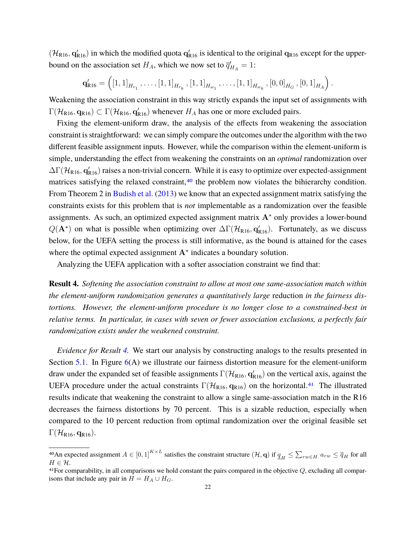$(\mathcal{H}_{R16}, q'_{R16})$  in which the modified quota  $q'_{R16}$  is identical to the original  $q_{R16}$  except for the upperbound on the association set  $H_A$ , which we now set to  $\overline{q}_{H_A} = 1$ :

 $\mathbf{q}_{\text{R}16}^{\prime} = \left( \left[ 1, 1 \right]_{H_{r_1}}, \ldots, \left[ 1, 1 \right]_{H_{r_k}}, \left[ 1, 1 \right]_{H_{w_1}}, \ldots, \left[ 1, 1 \right]_{H_{w_k}}, \left[ 0, 0 \right]_{H_G}, \left[ 0, 1 \right]_{H_A} \right).$ 

Weakening the association constraint in this way strictly expands the input set of assignments with  $\Gamma(\mathcal{H}_{R16}, \mathbf{q}_{R16}) \subset \Gamma(\mathcal{H}_{R16}, \mathbf{q}_{R16}')$  whenever  $H_A$  has one or more excluded pairs.

Fixing the element-uniform draw, the analysis of the effects from weakening the association constraint is straightforward: we can simply compare the outcomes under the algorithm with the two different feasible assignment inputs. However, while the comparison within the element-uniform is simple, understanding the effect from weakening the constraints on an *optimal* randomization over  $\Delta\Gamma(\mathcal{H}_{R16}, q'_{R16})$  raises a non-trivial concern. While it is easy to optimize over expected-assignment matrices satisfying the relaxed constraint,<sup>40</sup> the problem now violates the bihierarchy condition. From Theorem 2 in Budish et al. (2013) we know that an expected assignment matrix satisfying the constraints exists for this problem that is *not* implementable as a randomization over the feasible assignments. As such, an optimized expected assignment matrix  $A^*$  only provides a lower-bound  $Q(\mathbf{A}^*)$  on what is possible when optimizing over  $\Delta \Gamma(\mathcal{H}_{R16}, \mathbf{q}'_{R16})$ . Fortunately, as we discuss below, for the UEFA setting the process is still informative, as the bound is attained for the cases where the optimal expected assignment  $A^*$  indicates a boundary solution.

Analyzing the UEFA application with a softer association constraint we find that:

**Result 4.** *Softening the association constraint to allow at most one same-association match within the element-uniform randomization generates a quantitatively large* reduction *in the fairness distortions. However, the element-uniform procedure is no longer close to a constrained-best in relative terms. In particular, in cases with seven or fewer association exclusions, a perfectly fair randomization exists under the weakened constraint.*

*Evidence for Result 4.* We start our analysis by constructing analogs to the results presented in Section 5.1. In Figure 6(A) we illustrate our fairness distortion measure for the element-uniform draw under the expanded set of feasible assignments  $\Gamma(\mathcal{H}_{\rm R16},\mathbf{q}'_{\rm R16})$  on the vertical axis, against the UEFA procedure under the actual constraints  $\Gamma(\mathcal{H}_{R16}, q_{R16})$  on the horizontal.<sup>41</sup> The illustrated results indicate that weakening the constraint to allow a single same-association match in the R16 decreases the fairness distortions by 70 percent. This is a sizable reduction, especially when compared to the 10 percent reduction from optimal randomization over the original feasible set  $\Gamma(\mathcal{H}_{R16},\mathbf{q}_{R16}).$ 

<sup>&</sup>lt;sup>40</sup>An expected assignment  $A \in [0,1]^{K \times L}$  satisfies the constraint structure  $(\mathcal{H}, \mathbf{q})$  if  $\underline{q}_H \leq \sum_{rw \in H} a_{rw} \leq \overline{q}_H$  for all  $H \in \mathcal{H}$ .

 $41$ For comparability, in all comparisons we hold constant the pairs compared in the objective  $Q$ , excluding all comparisons that include any pair in  $H = H_A \cup H_G$ .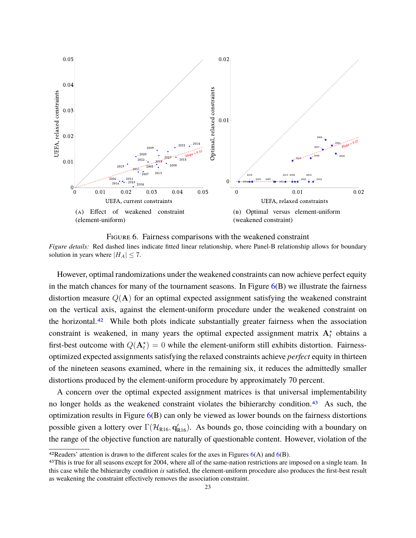

Figure 6. Fairness comparisons with the weakened constraint *Figure details:* Red dashed lines indicate fitted linear relationship, where Panel-B relationship allows for boundary solution in years where  $|H_A| \leq 7$ .

However, optimal randomizations under the weakened constraints can now achieve perfect equity in the match chances for many of the tournament seasons. In Figure  $6(B)$  we illustrate the fairness distortion measure  $Q(A)$  for an optimal expected assignment satisfying the weakened constraint on the vertical axis, against the element-uniform procedure under the weakened constraint on the horizontal.<sup>42</sup> While both plots indicate substantially greater fairness when the association constraint is weakened, in many years the optimal expected assignment matrix  $A_t^*$  obtains a first-best outcome with  $Q(\mathbf{A}_t^*) = 0$  while the element-uniform still exhibits distortion. Fairnessoptimized expected assignments satisfying the relaxed constraints achieve *perfect* equity in thirteen of the nineteen seasons examined, where in the remaining six, it reduces the admittedly smaller distortions produced by the element-uniform procedure by approximately 70 percent.

A concern over the optimal expected assignment matrices is that universal implementability no longer holds as the weakened constraint violates the bihierarchy condition.<sup>43</sup> As such, the optimization results in Figure 6(B) can only be viewed as lower bounds on the fairness distortions possible given a lottery over  $\Gamma(\mathcal{H}_{R16}, \mathbf{q}'_{R16})$ . As bounds go, those coinciding with a boundary on the range of the objective function are naturally of questionable content. However, violation of the

<sup>&</sup>lt;sup>42</sup>Readers' attention is drawn to the different scales for the axes in Figures  $6(A)$  and  $6(B)$ .

<sup>&</sup>lt;sup>43</sup>This is true for all seasons except for 2004, where all of the same-nation restrictions are imposed on a single team. In this case while the bihierarchy condition *is* satisfied, the element-uniform procedure also produces the first-best result as weakening the constraint effectively removes the association constraint.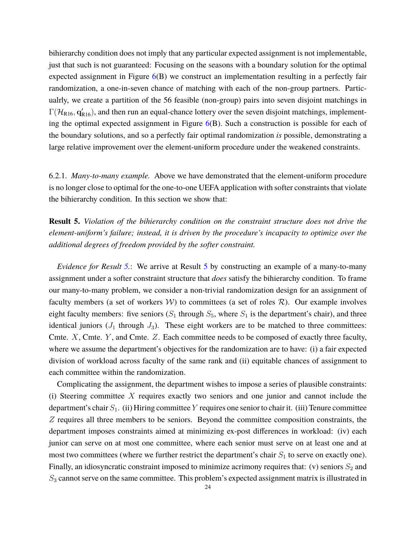bihierarchy condition does not imply that any particular expected assignment is not implementable, just that such is not guaranteed: Focusing on the seasons with a boundary solution for the optimal expected assignment in Figure  $6(B)$  we construct an implementation resulting in a perfectly fair randomization, a one-in-seven chance of matching with each of the non-group partners. Particualrly, we create a partition of the 56 feasible (non-group) pairs into seven disjoint matchings in  $\Gamma(\mathcal{H}_{R16}, \mathbf{q}'_{R16})$ , and then run an equal-chance lottery over the seven disjoint matchings, implementing the optimal expected assignment in Figure  $6(B)$ . Such a construction is possible for each of the boundary solutions, and so a perfectly fair optimal randomization *is* possible, demonstrating a large relative improvement over the element-uniform procedure under the weakened constraints.

6.2.1. *Many-to-many example.* Above we have demonstrated that the element-uniform procedure is no longer close to optimal for the one-to-one UEFA application with softer constraints that violate the bihierarchy condition. In this section we show that:

**Result 5.** *Violation of the bihierarchy condition on the constraint structure does not drive the element-uniform's failure; instead, it is driven by the procedure's incapacity to optimize over the additional degrees of freedom provided by the softer constraint.*

*Evidence for Result* 5.: We arrive at Result 5 by constructing an example of a many-to-many assignment under a softer constraint structure that *does* satisfy the bihierarchy condition. To frame our many-to-many problem, we consider a non-trivial randomization design for an assignment of faculty members (a set of workers  $W$ ) to committees (a set of roles  $R$ ). Our example involves eight faculty members: five seniors  $(S_1$  through  $S_5$ , where  $S_1$  is the department's chair), and three identical juniors  $(J_1$  through  $J_3$ ). These eight workers are to be matched to three committees: Cmte.  $X$ , Cmte.  $Y$ , and Cmte.  $Z$ . Each committee needs to be composed of exactly three faculty, where we assume the department's objectives for the randomization are to have: (i) a fair expected division of workload across faculty of the same rank and (ii) equitable chances of assignment to each committee within the randomization.

Complicating the assignment, the department wishes to impose a series of plausible constraints: (i) Steering committee X requires exactly two seniors and one junior and cannot include the department's chair  $S_1$ . (ii) Hiring committee Y requires one senior to chair it. (iii) Tenure committee Z requires all three members to be seniors. Beyond the committee composition constraints, the department imposes constraints aimed at minimizing ex-post differences in workload: (iv) each junior can serve on at most one committee, where each senior must serve on at least one and at most two committees (where we further restrict the department's chair  $S_1$  to serve on exactly one). Finally, an idiosyncratic constraint imposed to minimize acrimony requires that: (v) seniors  $S_2$  and  $S_3$  cannot serve on the same committee. This problem's expected assignment matrix is illustrated in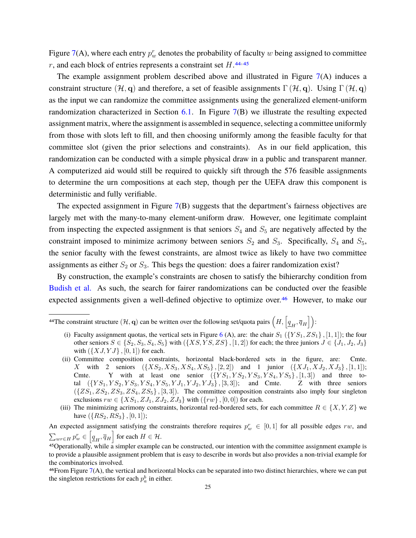Figure 7(A), where each entry  $p_w^r$  denotes the probability of faculty  $w$  being assigned to committee r, and each block of entries represents a constraint set  $H$ .<sup>44,45</sup>

The example assignment problem described above and illustrated in Figure  $7(A)$  induces a constraint structure  $(\mathcal{H}, \mathbf{q})$  and therefore, a set of feasible assignments  $\Gamma(\mathcal{H}, \mathbf{q})$ . Using  $\Gamma(\mathcal{H}, \mathbf{q})$ as the input we can randomize the committee assignments using the generalized element-uniform randomization characterized in Section  $6.1$ . In Figure  $7(B)$  we illustrate the resulting expected assignment matrix, where the assignment is assembled in sequence, selecting a committee uniformly from those with slots left to fill, and then choosing uniformly among the feasible faculty for that committee slot (given the prior selections and constraints). As in our field application, this randomization can be conducted with a simple physical draw in a public and transparent manner. A computerized aid would still be required to quickly sift through the 576 feasible assignments to determine the urn compositions at each step, though per the UEFA draw this component is deterministic and fully verifiable.

The expected assignment in Figure  $7(B)$  suggests that the department's fairness objectives are largely met with the many-to-many element-uniform draw. However, one legitimate complaint from inspecting the expected assignment is that seniors  $S_4$  and  $S_5$  are negatively affected by the constraint imposed to minimize acrimony between seniors  $S_2$  and  $S_3$ . Specifically,  $S_4$  and  $S_5$ , the senior faculty with the fewest constraints, are almost twice as likely to have two committee assignments as either  $S_2$  or  $S_3$ . This begs the question: does a fairer randomization exist?

By construction, the example's constraints are chosen to satisfy the bihierarchy condition from Budish et al. As such, the search for fairer randomizations can be conducted over the feasible expected assignments given a well-defined objective to optimize over.<sup>46</sup> However, to make our

- (i) Faculty assignment quotas, the vertical sets in Figure 6 (A), are: the chair  $S_1$  ( $\{YS_1, ZS_1\}$ , [1, 1]); the four other seniors  $S \in \{S_2, S_3, S_4, S_5\}$  with  $(\{XS, YS, ZS\}, [1, 2])$  for each; the three juniors  $J \in \{J_1, J_2, J_3\}$ with  $({XJ, YJ}, [0, 1])$  for each.
- (ii) Committee composition constraints, horizontal black-bordered sets in the figure, are: Cmte. X with 2 seniors  $({\{XS_2,XS_3,XS_4,XS_5\},[2,2])$  and 1 junior  $({\{XJ_1,XJ_2,XJ_3\},[1,1]})$ ; Cmte. Y with at least one senior  $({{YS_1, YS_2, YS_3, YS_4, YS_5}, [1,3])}$  and three total  $({\{YS_1,YS_2,YS_3,YS_4,YS_5, YJ_1, YJ_2, YJ_3\}, [3,3])$ ; and Cmte. Z with three seniors  $({ZS_1, ZS_2, ZS_3, ZS_4, ZS_5}, [3, 3])$ . The committee composition constraints also imply four singleton exclusions  $rw \in \{XS_1, ZJ_1, ZJ_2, ZJ_3\}$  with  $(\{rw\}, [0, 0])$  for each.
- (iii) The minimizing acrimony constraints, horizontal red-bordered sets, for each committee  $R \in \{X, Y, Z\}$  we have  $({RS_2, RS_3}, [0, 1])$ ;

An expected assignment satisfying the constraints therefore requires  $p_w^r \in [0,1]$  for all possible edges rw, and  $\sum_{wr \in H} p_w^r \in \left[ \underline{q}_H, \overline{q}_H \right]$  for each  $H \in \mathcal{H}$ .

 $46$ From Figure 7(A), the vertical and horizontal blocks can be separated into two distinct hierarchies, where we can put the singleton restrictions for each  $p_a^b$  in either.

<sup>&</sup>lt;sup>44</sup>The constraint structure  $(\mathcal{H}, \mathbf{q})$  can be written over the following set/quota pairs  $\left(H, \left[\underline{q}_H, \overline{q}_H\right]\right)$ :

<sup>45</sup>Operationally, while a simpler example can be constructed, our intention with the committee assignment example is to provide a plausible assignment problem that is easy to describe in words but also provides a non-trivial example for the combinatorics involved.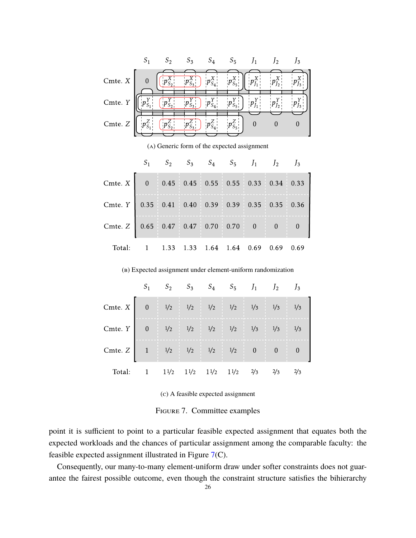|         |                                             | $S_3$ | $S_4$ | $S_5$ | $\mathcal{P}$ | 13 |
|---------|---------------------------------------------|-------|-------|-------|---------------|----|
| Cmte. X |                                             |       |       |       |               |    |
| Cmte. Y |                                             |       |       |       |               |    |
| Cmte. Z |                                             |       |       |       |               |    |
|         | (A) Generic form of the expected assignment |       |       |       |               |    |

|                                                 |  |  | $S_1$ $S_2$ $S_3$ $S_4$ $S_5$ $J_1$ $J_2$ $J_3$ |  |  |
|-------------------------------------------------|--|--|-------------------------------------------------|--|--|
| Cmte. $X$ 0 0.45 0.45 0.55 0.55 0.33 0.34 0.33  |  |  |                                                 |  |  |
| Cmte. Y 0.35 0.41 0.40 0.39 0.39 0.35 0.35 0.36 |  |  |                                                 |  |  |
| Cmte. $Z$ 0.65 0.47 0.47 0.70 0.70 0 0 0 0      |  |  |                                                 |  |  |
| Total: 1 1.33 1.33 1.64 1.64 0.69 0.69 0.69     |  |  |                                                 |  |  |

(b) Expected assignment under element-uniform randomization

|                                                                                 |  |  | $S_1$ $S_2$ $S_3$ $S_4$ $S_5$ $J_1$ $J_2$ $J_3$ |  |  |
|---------------------------------------------------------------------------------|--|--|-------------------------------------------------|--|--|
| Cmte. $X \begin{bmatrix} 0 & 1/2 & 1/2 & 1/2 & 1/3 & 1/3 \end{bmatrix}$         |  |  |                                                 |  |  |
| Cmte. $Y = \begin{bmatrix} 0 & 1/2 & 1/2 & 1/2 & 1/2 & 1/3 & 1/3 \end{bmatrix}$ |  |  |                                                 |  |  |
| Cmte. Z 1 $\frac{1}{2}$ 1/2 $\frac{1}{2}$ 1/2 $\frac{1}{2}$ 1/2 0 0             |  |  |                                                 |  |  |
| Total:                                                                          |  |  | $11/2$ $11/2$ $11/2$ $11/2$ $2/3$ $2/3$ $2/3$   |  |  |

(c) A feasible expected assignment

Figure 7. Committee examples

point it is sufficient to point to a particular feasible expected assignment that equates both the expected workloads and the chances of particular assignment among the comparable faculty: the feasible expected assignment illustrated in Figure 7(C).

Consequently, our many-to-many element-uniform draw under softer constraints does not guarantee the fairest possible outcome, even though the constraint structure satisfies the bihierarchy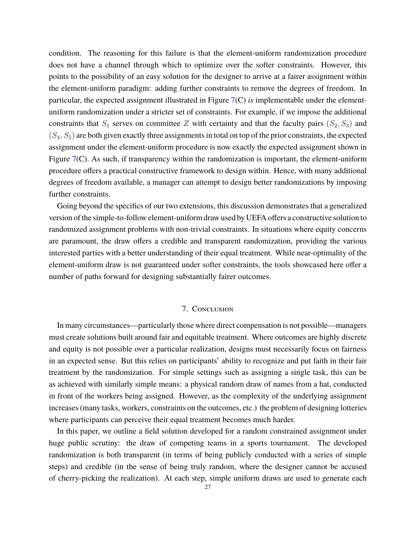condition. The reasoning for this failure is that the element-uniform randomization procedure does not have a channel through which to optimize over the softer constraints. However, this points to the possibility of an easy solution for the designer to arrive at a fairer assignment within the element-uniform paradigm: adding further constraints to remove the degrees of freedom. In particular, the expected assignment illustrated in Figure 7(C) *is* implementable under the elementuniform randomization under a stricter set of constraints. For example, if we impose the additional constraints that  $S_1$  serves on committee Z with certainty and that the faculty pairs  $(S_2, S_3)$  and  $(S_4, S_5)$  are both given exactly three assignments in total on top of the prior constraints, the expected assignment under the element-uniform procedure is now exactly the expected assignment shown in Figure 7(C). As such, if transparency within the randomization is important, the element-uniform procedure offers a practical constructive framework to design within. Hence, with many additional degrees of freedom available, a manager can attempt to design better randomizations by imposing further constraints.

Going beyond the specifics of our two extensions, this discussion demonstrates that a generalized version of the simple-to-follow element-uniform draw used by UEFA offers a constructive solution to randomized assignment problems with non-trivial constraints. In situations where equity concerns are paramount, the draw offers a credible and transparent randomization, providing the various interested parties with a better understanding of their equal treatment. While near-optimality of the element-uniform draw is not guaranteed under softer constraints, the tools showcased here offer a number of paths forward for designing substantially fairer outcomes.

#### 7. Conclusion

In many circumstances—particularly those where direct compensation is not possible—managers must create solutions built around fair and equitable treatment. Where outcomes are highly discrete and equity is not possible over a particular realization, designs must necessarily focus on fairness in an expected sense. But this relies on participants' ability to recognize and put faith in their fair treatment by the randomization. For simple settings such as assigning a single task, this can be as achieved with similarly simple means: a physical random draw of names from a hat, conducted in front of the workers being assigned. However, as the complexity of the underlying assignment increases (many tasks, workers, constraints on the outcomes, etc.) the problem of designing lotteries where participants can perceive their equal treatment becomes much harder.

In this paper, we outline a field solution developed for a random constrained assignment under huge public scrutiny: the draw of competing teams in a sports tournament. The developed randomization is both transparent (in terms of being publicly conducted with a series of simple steps) and credible (in the sense of being truly random, where the designer cannot be accused of cherry-picking the realization). At each step, simple uniform draws are used to generate each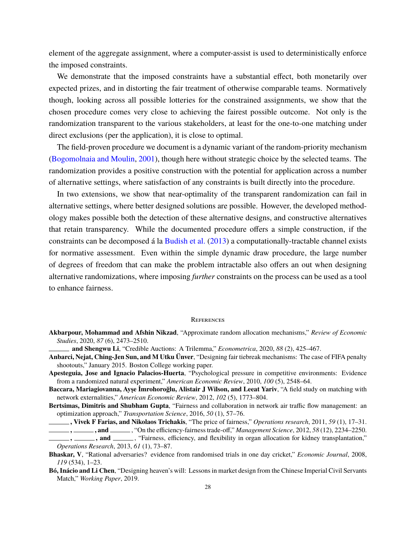element of the aggregate assignment, where a computer-assist is used to deterministically enforce the imposed constraints.

We demonstrate that the imposed constraints have a substantial effect, both monetarily over expected prizes, and in distorting the fair treatment of otherwise comparable teams. Normatively though, looking across all possible lotteries for the constrained assignments, we show that the chosen procedure comes very close to achieving the fairest possible outcome. Not only is the randomization transparent to the various stakeholders, at least for the one-to-one matching under direct exclusions (per the application), it is close to optimal.

The field-proven procedure we document is a dynamic variant of the random-priority mechanism (Bogomolnaia and Moulin, 2001), though here without strategic choice by the selected teams. The randomization provides a positive construction with the potential for application across a number of alternative settings, where satisfaction of any constraints is built directly into the procedure.

In two extensions, we show that near-optimality of the transparent randomization can fail in alternative settings, where better designed solutions are possible. However, the developed methodology makes possible both the detection of these alternative designs, and constructive alternatives that retain transparency. While the documented procedure offers a simple construction, if the constraints can be decomposed á la Budish et al. (2013) a computationally-tractable channel exists for normative assessment. Even within the simple dynamic draw procedure, the large number of degrees of freedom that can make the problem intractable also offers an out when designing alternative randomizations, where imposing *further* constraints on the process can be used as a tool to enhance fairness.

#### **REFERENCES**

- **Akbarpour, Mohammad and Afshin Nikzad**, "Approximate random allocation mechanisms," *Review of Economic Studies*, 2020, *87* (6), 2473–2510.
- **and Shengwu Li**, "Credible Auctions: A Trilemma," *Econometrica*, 2020, *88* (2), 425–467.
- **Anbarci, Nejat, Ching-Jen Sun, and M Utku Ünver**, "Designing fair tiebreak mechanisms: The case of FIFA penalty shootouts," January 2015. Boston College working paper.
- **Apesteguia, Jose and Ignacio Palacios-Huerta**, "Psychological pressure in competitive environments: Evidence from a randomized natural experiment," *American Economic Review*, 2010, *100* (5), 2548–64.
- **Baccara, Mariagiovanna, Ayşe İmrohoroğlu, Alistair J Wilson, and Leeat Yariv**, "A field study on matching with network externalities," *American Economic Review*, 2012, *102* (5), 1773–804.
- **Bertsimas, Dimitris and Shubham Gupta**, "Fairness and collaboration in network air traffic flow management: an optimization approach," *Transportation Science*, 2016, *50* (1), 57–76.

**, Vivek F Farias, and Nikolaos Trichakis**, "The price of fairness," *Operations research*, 2011, *59* (1), 17–31.

**Bó, Inácio and Li Chen**, "Designing heaven's will: Lessons in market design from the Chinese Imperial Civil Servants Match," *Working Paper*, 2019.

**<sup>,</sup> , , and** , "On the efficiency-fairness trade-off," *Management Science*, 2012, 58 (12), 2234–2250. **, , and** , "Fairness, efficiency, and flexibility in organ allocation for kidney transplantation," *Operations Research*, 2013, *61* (1), 73–87.

**Bhaskar, V**, "Rational adversaries? evidence from randomised trials in one day cricket," *Economic Journal*, 2008, *119* (534), 1–23.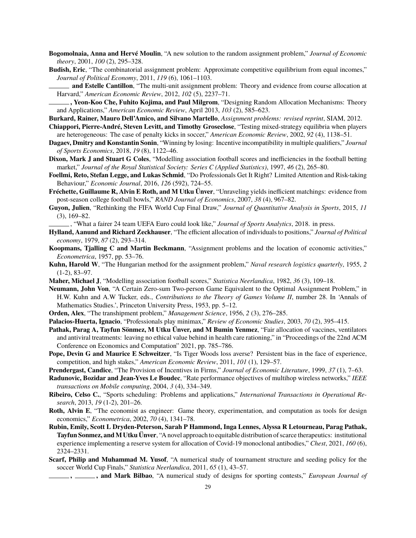- **Bogomolnaia, Anna and Hervé Moulin**, "A new solution to the random assignment problem," *Journal of Economic theory*, 2001, *100* (2), 295–328.
- **Budish, Eric**, "The combinatorial assignment problem: Approximate competitive equilibrium from equal incomes," *Journal of Political Economy*, 2011, *119* (6), 1061–1103.
	- **and Estelle Cantillon**, "The multi-unit assignment problem: Theory and evidence from course allocation at Harvard," *American Economic Review*, 2012, *102* (5), 2237–71.
- **, Yeon-Koo Che, Fuhito Kojima, and Paul Milgrom**, "Designing Random Allocation Mechanisms: Theory and Applications," *American Economic Review*, April 2013, *103* (2), 585–623.
- **Burkard, Rainer, Mauro Dell'Amico, and Silvano Martello**, *Assignment problems: revised reprint*, SIAM, 2012.
- **Chiappori, Pierre-André, Steven Levitt, and Timothy Groseclose**, "Testing mixed-strategy equilibria when players are heterogeneous: The case of penalty kicks in soccer," *American Economic Review*, 2002, *92* (4), 1138–51.
- **Dagaev, Dmitry and Konstantin Sonin**, "Winning by losing: Incentive incompatibility in multiple qualifiers," *Journal of Sports Economics*, 2018, *19* (8), 1122–46.
- **Dixon, Mark J and Stuart G Coles**, "Modelling association football scores and inefficiencies in the football betting market," *Journal of the Royal Statistical Society: Series C (Applied Statistics)*, 1997, *46* (2), 265–80.
- **Foellmi, Reto, Stefan Legge, and Lukas Schmid**, "Do Professionals Get It Right? Limited Attention and Risk-taking Behaviour," *Economic Journal*, 2016, *126* (592), 724–55.
- **Fréchette, Guillaume R, Alvin E Roth, and M Utku Ünver**, "Unraveling yields inefficient matchings: evidence from post-season college football bowls," *RAND Journal of Economics*, 2007, *38* (4), 967–82.
- **Guyon, Julien**, "Rethinking the FIFA World Cup Final Draw," *Journal of Quantitative Analysis in Sports*, 2015, *11* (3), 169–82.
- , "What a fairer 24 team UEFA Euro could look like," *Journal of Sports Analytics*, 2018. in press.
- **Hylland, Aanund and Richard Zeckhauser**, "The efficient allocation of individuals to positions," *Journal of Political economy*, 1979, *87* (2), 293–314.
- **Koopmans, Tjalling C and Martin Beckmann**, "Assignment problems and the location of economic activities," *Econometrica*, 1957, pp. 53–76.
- **Kuhn, Harold W**, "The Hungarian method for the assignment problem," *Naval research logistics quarterly*, 1955, *2* (1-2), 83–97.
- **Maher, Michael J**, "Modelling association football scores," *Statistica Neerlandica*, 1982, *36* (3), 109–18.
- **Neumann, John Von**, "A Certain Zero-sum Two-person Game Equivalent to the Optimal Assignment Problem," in H.W. Kuhn and A.W Tucker, eds., *Contributions to the Theory of Games Volume II*, number 28. In 'Annals of Mathematics Studies.', Princeton University Press, 1953, pp. 5–12.
- **Orden, Alex**, "The transhipment problem," *Management Science*, 1956, *2* (3), 276–285.
- **Palacios-Huerta, Ignacio**, "Professionals play minimax," *Review of Economic Studies*, 2003, *70* (2), 395–415.
- **Pathak, Parag A, Tayfun Sönmez, M Utku Ünver, and M Bumin Yenmez**, "Fair allocation of vaccines, ventilators and antiviral treatments: leaving no ethical value behind in health care rationing," in "Proceedings of the 22nd ACM Conference on Economics and Computation" 2021, pp. 785–786.
- **Pope, Devin G and Maurice E Schweitzer**, "Is Tiger Woods loss averse? Persistent bias in the face of experience, competition, and high stakes," *American Economic Review*, 2011, *101* (1), 129–57.
- **Prendergast, Candice**, "The Provision of Incentives in Firms," *Journal of Economic Literature*, 1999, *37* (1), 7–63.
- **Radunovic, Bozidar and Jean-Yves Le Boudec**, "Rate performance objectives of multihop wireless networks," *IEEE transactions on Mobile computing*, 2004, *3* (4), 334–349.
- **Ribeiro, Celso C.**, "Sports scheduling: Problems and applications," *International Transactions in Operational Research*, 2013, *19* (1-2), 201–26.
- **Roth, Alvin E**, "The economist as engineer: Game theory, experimentation, and computation as tools for design economics," *Econometrica*, 2002, *70* (4), 1341–78.
- **Rubin, Emily, Scott L Dryden-Peterson, Sarah P Hammond, Inga Lennes, Alyssa R Letourneau, Parag Pathak, Tayfun Sonmez, andM Utku Ünver**, "A novel approach to equitable distribution of scarce therapeutics: institutional experience implementing a reserve system for allocation of Covid-19 monoclonal antibodies," *Chest*, 2021, *160* (6), 2324–2331.
- **Scarf, Philip and Muhammad M. Yusof**, "A numerical study of tournament structure and seeding policy for the soccer World Cup Finals," *Statistica Neerlandica*, 2011, *65* (1), 43–57.
	- **, , and Mark Bilbao**, "A numerical study of designs for sporting contests," *European Journal of*